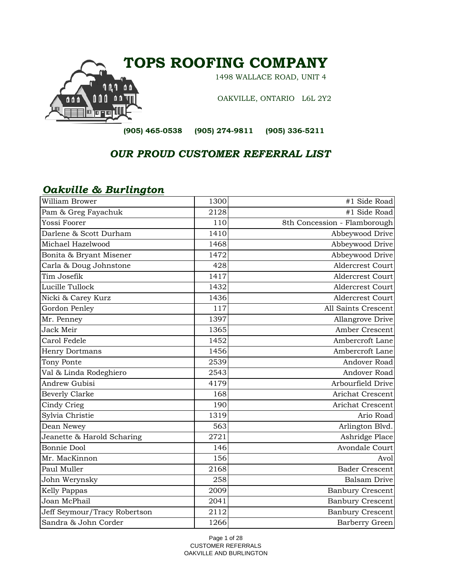

 *OUR PROUD CUSTOMER REFERRAL LIST*

## *Oakville & Burlington*

| William Brower               | 1300 | #1 Side Road                 |
|------------------------------|------|------------------------------|
| Pam & Greg Fayachuk          | 2128 | #1 Side Road                 |
| Yossi Foorer                 | 110  | 8th Concession - Flamborough |
| Darlene & Scott Durham       | 1410 | Abbeywood Drive              |
| Michael Hazelwood            | 1468 | Abbeywood Drive              |
| Bonita & Bryant Misener      | 1472 | Abbeywood Drive              |
| Carla & Doug Johnstone       | 428  | <b>Aldercrest Court</b>      |
| Tim Josefik                  | 1417 | <b>Aldercrest Court</b>      |
| Lucille Tullock              | 1432 | <b>Aldercrest Court</b>      |
| Nicki & Carey Kurz           | 1436 | <b>Aldercrest Court</b>      |
| Gordon Penley                | 117  | All Saints Crescent          |
| Mr. Penney                   | 1397 | Allangrove Drive             |
| Jack Meir                    | 1365 | Amber Crescent               |
| Carol Fedele                 | 1452 | Ambercroft Lane              |
| Henry Dortmans               | 1456 | Ambercroft Lane              |
| Tony Ponte                   | 2539 | Andover Road                 |
| Val & Linda Rodeghiero       | 2543 | Andover Road                 |
| <b>Andrew Gubisi</b>         | 4179 | Arbourfield Drive            |
| <b>Beverly Clarke</b>        | 168  | Arichat Crescent             |
| Cindy Crieg                  | 190  | Arichat Crescent             |
| Sylvia Christie              | 1319 | Ario Road                    |
| Dean Newey                   | 563  | Arlington Blvd.              |
| Jeanette & Harold Scharing   | 2721 | Ashridge Place               |
| <b>Bonnie Dool</b>           | 146  | Avondale Court               |
| Mr. MacKinnon                | 156  | Avol                         |
| Paul Muller                  | 2168 | <b>Bader Crescent</b>        |
| John Werynsky                | 258  | <b>Balsam Drive</b>          |
| Kelly Pappas                 | 2009 | <b>Banbury Crescent</b>      |
| Joan McPhail                 | 2041 | <b>Banbury Crescent</b>      |
| Jeff Seymour/Tracy Robertson | 2112 | Banbury Crescent             |
| Sandra & John Corder         | 1266 | Barberry Green               |

Page 1 of 28 CUSTOMER REFERRALS OAKVILLE AND BURLINGTON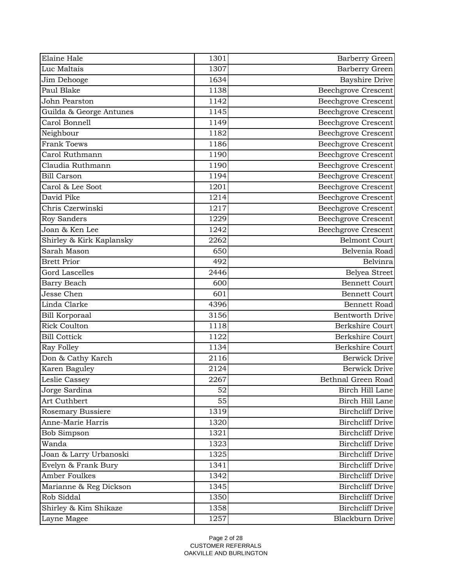| Luc Maltais<br>1307<br>Barberry Green<br><b>Bayshire Drive</b><br>1634<br>Jim Dehooge<br>Paul Blake<br>1138<br><b>Beechgrove Crescent</b><br>1142<br>John Pearston<br><b>Beechgrove Crescent</b><br>1145<br><b>Beechgrove Crescent</b><br>Guilda & George Antunes<br>Carol Bonnell<br>1149<br><b>Beechgrove Crescent</b><br>Neighbour<br><b>Beechgrove Crescent</b><br>1182<br><b>Frank Toews</b><br><b>Beechgrove Crescent</b><br>1186<br>Carol Ruthmann<br><b>Beechgrove Crescent</b><br>1190<br>Claudia Ruthmann<br><b>Beechgrove Crescent</b><br>1190<br><b>Bill Carson</b><br>1194<br><b>Beechgrove Crescent</b><br>Beechgrove Crescent<br>Carol & Lee Soot<br>1201<br>David Pike<br>1214<br><b>Beechgrove Crescent</b><br>Chris Czerwinski<br><b>Beechgrove Crescent</b><br>1217<br><b>Roy Sanders</b><br><b>Beechgrove Crescent</b><br>1229<br>Joan & Ken Lee<br>1242<br><b>Beechgrove Crescent</b><br>Shirley & Kirk Kaplansky<br><b>Belmont Court</b><br>2262<br>Sarah Mason<br>650<br>Belvenia Road<br><b>Belvinra</b><br><b>Brett Prior</b><br>492<br><b>Gord Lascelles</b><br>2446<br>Belyea Street<br><b>Bennett Court</b><br>Barry Beach<br>600<br>Jesse Chen<br>601<br><b>Bennett Court</b><br>Linda Clarke<br>4396<br><b>Bennett Road</b><br>3156<br><b>Bentworth Drive</b><br><b>Bill Korporaal</b><br><b>Rick Coulton</b><br>1118<br><b>Berkshire Court</b><br><b>Bill Cottick</b><br><b>Berkshire Court</b><br>1122<br>Berkshire Court<br>Ray Folley<br>1134<br>Don & Cathy Karch<br>2116<br><b>Berwick Drive</b><br>Karen Baguley<br><b>Berwick Drive</b><br>2124<br>Leslie Cassey<br>2267<br>Bethnal Green Road<br>Jorge Sardina<br>Birch Hill Lane<br>52<br>Art Cuthbert<br>55<br>Birch Hill Lane<br>Rosemary Bussiere<br>1319<br><b>Birchcliff Drive</b><br>Anne-Marie Harris<br><b>Birchcliff Drive</b><br>1320<br><b>Birchcliff Drive</b><br>Bob Simpson<br>1321<br>Wanda<br><b>Birchcliff Drive</b><br>1323<br>Joan & Larry Urbanoski<br>1325<br><b>Birchcliff Drive</b><br><b>Birchcliff Drive</b><br>Evelyn & Frank Bury<br>1341<br>Amber Foulkes<br><b>Birchcliff Drive</b><br>1342<br><b>Birchcliff Drive</b><br>Marianne & Reg Dickson<br>1345<br>Rob Siddal<br><b>Birchcliff Drive</b><br>1350<br>Shirley & Kim Shikaze<br>1358<br><b>Birchcliff Drive</b><br>Layne Magee<br>1257<br><b>Blackburn Drive</b> | Elaine Hale | 1301 | Barberry Green |
|---------------------------------------------------------------------------------------------------------------------------------------------------------------------------------------------------------------------------------------------------------------------------------------------------------------------------------------------------------------------------------------------------------------------------------------------------------------------------------------------------------------------------------------------------------------------------------------------------------------------------------------------------------------------------------------------------------------------------------------------------------------------------------------------------------------------------------------------------------------------------------------------------------------------------------------------------------------------------------------------------------------------------------------------------------------------------------------------------------------------------------------------------------------------------------------------------------------------------------------------------------------------------------------------------------------------------------------------------------------------------------------------------------------------------------------------------------------------------------------------------------------------------------------------------------------------------------------------------------------------------------------------------------------------------------------------------------------------------------------------------------------------------------------------------------------------------------------------------------------------------------------------------------------------------------------------------------------------------------------------------------------------------------------------------------------------------------------------------------------------------------------------------------------------------------------------------------------------------------------------------------------------------------------------------------------------------------------------|-------------|------|----------------|
|                                                                                                                                                                                                                                                                                                                                                                                                                                                                                                                                                                                                                                                                                                                                                                                                                                                                                                                                                                                                                                                                                                                                                                                                                                                                                                                                                                                                                                                                                                                                                                                                                                                                                                                                                                                                                                                                                                                                                                                                                                                                                                                                                                                                                                                                                                                                             |             |      |                |
|                                                                                                                                                                                                                                                                                                                                                                                                                                                                                                                                                                                                                                                                                                                                                                                                                                                                                                                                                                                                                                                                                                                                                                                                                                                                                                                                                                                                                                                                                                                                                                                                                                                                                                                                                                                                                                                                                                                                                                                                                                                                                                                                                                                                                                                                                                                                             |             |      |                |
|                                                                                                                                                                                                                                                                                                                                                                                                                                                                                                                                                                                                                                                                                                                                                                                                                                                                                                                                                                                                                                                                                                                                                                                                                                                                                                                                                                                                                                                                                                                                                                                                                                                                                                                                                                                                                                                                                                                                                                                                                                                                                                                                                                                                                                                                                                                                             |             |      |                |
|                                                                                                                                                                                                                                                                                                                                                                                                                                                                                                                                                                                                                                                                                                                                                                                                                                                                                                                                                                                                                                                                                                                                                                                                                                                                                                                                                                                                                                                                                                                                                                                                                                                                                                                                                                                                                                                                                                                                                                                                                                                                                                                                                                                                                                                                                                                                             |             |      |                |
|                                                                                                                                                                                                                                                                                                                                                                                                                                                                                                                                                                                                                                                                                                                                                                                                                                                                                                                                                                                                                                                                                                                                                                                                                                                                                                                                                                                                                                                                                                                                                                                                                                                                                                                                                                                                                                                                                                                                                                                                                                                                                                                                                                                                                                                                                                                                             |             |      |                |
|                                                                                                                                                                                                                                                                                                                                                                                                                                                                                                                                                                                                                                                                                                                                                                                                                                                                                                                                                                                                                                                                                                                                                                                                                                                                                                                                                                                                                                                                                                                                                                                                                                                                                                                                                                                                                                                                                                                                                                                                                                                                                                                                                                                                                                                                                                                                             |             |      |                |
|                                                                                                                                                                                                                                                                                                                                                                                                                                                                                                                                                                                                                                                                                                                                                                                                                                                                                                                                                                                                                                                                                                                                                                                                                                                                                                                                                                                                                                                                                                                                                                                                                                                                                                                                                                                                                                                                                                                                                                                                                                                                                                                                                                                                                                                                                                                                             |             |      |                |
|                                                                                                                                                                                                                                                                                                                                                                                                                                                                                                                                                                                                                                                                                                                                                                                                                                                                                                                                                                                                                                                                                                                                                                                                                                                                                                                                                                                                                                                                                                                                                                                                                                                                                                                                                                                                                                                                                                                                                                                                                                                                                                                                                                                                                                                                                                                                             |             |      |                |
|                                                                                                                                                                                                                                                                                                                                                                                                                                                                                                                                                                                                                                                                                                                                                                                                                                                                                                                                                                                                                                                                                                                                                                                                                                                                                                                                                                                                                                                                                                                                                                                                                                                                                                                                                                                                                                                                                                                                                                                                                                                                                                                                                                                                                                                                                                                                             |             |      |                |
|                                                                                                                                                                                                                                                                                                                                                                                                                                                                                                                                                                                                                                                                                                                                                                                                                                                                                                                                                                                                                                                                                                                                                                                                                                                                                                                                                                                                                                                                                                                                                                                                                                                                                                                                                                                                                                                                                                                                                                                                                                                                                                                                                                                                                                                                                                                                             |             |      |                |
|                                                                                                                                                                                                                                                                                                                                                                                                                                                                                                                                                                                                                                                                                                                                                                                                                                                                                                                                                                                                                                                                                                                                                                                                                                                                                                                                                                                                                                                                                                                                                                                                                                                                                                                                                                                                                                                                                                                                                                                                                                                                                                                                                                                                                                                                                                                                             |             |      |                |
|                                                                                                                                                                                                                                                                                                                                                                                                                                                                                                                                                                                                                                                                                                                                                                                                                                                                                                                                                                                                                                                                                                                                                                                                                                                                                                                                                                                                                                                                                                                                                                                                                                                                                                                                                                                                                                                                                                                                                                                                                                                                                                                                                                                                                                                                                                                                             |             |      |                |
|                                                                                                                                                                                                                                                                                                                                                                                                                                                                                                                                                                                                                                                                                                                                                                                                                                                                                                                                                                                                                                                                                                                                                                                                                                                                                                                                                                                                                                                                                                                                                                                                                                                                                                                                                                                                                                                                                                                                                                                                                                                                                                                                                                                                                                                                                                                                             |             |      |                |
|                                                                                                                                                                                                                                                                                                                                                                                                                                                                                                                                                                                                                                                                                                                                                                                                                                                                                                                                                                                                                                                                                                                                                                                                                                                                                                                                                                                                                                                                                                                                                                                                                                                                                                                                                                                                                                                                                                                                                                                                                                                                                                                                                                                                                                                                                                                                             |             |      |                |
|                                                                                                                                                                                                                                                                                                                                                                                                                                                                                                                                                                                                                                                                                                                                                                                                                                                                                                                                                                                                                                                                                                                                                                                                                                                                                                                                                                                                                                                                                                                                                                                                                                                                                                                                                                                                                                                                                                                                                                                                                                                                                                                                                                                                                                                                                                                                             |             |      |                |
|                                                                                                                                                                                                                                                                                                                                                                                                                                                                                                                                                                                                                                                                                                                                                                                                                                                                                                                                                                                                                                                                                                                                                                                                                                                                                                                                                                                                                                                                                                                                                                                                                                                                                                                                                                                                                                                                                                                                                                                                                                                                                                                                                                                                                                                                                                                                             |             |      |                |
|                                                                                                                                                                                                                                                                                                                                                                                                                                                                                                                                                                                                                                                                                                                                                                                                                                                                                                                                                                                                                                                                                                                                                                                                                                                                                                                                                                                                                                                                                                                                                                                                                                                                                                                                                                                                                                                                                                                                                                                                                                                                                                                                                                                                                                                                                                                                             |             |      |                |
|                                                                                                                                                                                                                                                                                                                                                                                                                                                                                                                                                                                                                                                                                                                                                                                                                                                                                                                                                                                                                                                                                                                                                                                                                                                                                                                                                                                                                                                                                                                                                                                                                                                                                                                                                                                                                                                                                                                                                                                                                                                                                                                                                                                                                                                                                                                                             |             |      |                |
|                                                                                                                                                                                                                                                                                                                                                                                                                                                                                                                                                                                                                                                                                                                                                                                                                                                                                                                                                                                                                                                                                                                                                                                                                                                                                                                                                                                                                                                                                                                                                                                                                                                                                                                                                                                                                                                                                                                                                                                                                                                                                                                                                                                                                                                                                                                                             |             |      |                |
|                                                                                                                                                                                                                                                                                                                                                                                                                                                                                                                                                                                                                                                                                                                                                                                                                                                                                                                                                                                                                                                                                                                                                                                                                                                                                                                                                                                                                                                                                                                                                                                                                                                                                                                                                                                                                                                                                                                                                                                                                                                                                                                                                                                                                                                                                                                                             |             |      |                |
|                                                                                                                                                                                                                                                                                                                                                                                                                                                                                                                                                                                                                                                                                                                                                                                                                                                                                                                                                                                                                                                                                                                                                                                                                                                                                                                                                                                                                                                                                                                                                                                                                                                                                                                                                                                                                                                                                                                                                                                                                                                                                                                                                                                                                                                                                                                                             |             |      |                |
|                                                                                                                                                                                                                                                                                                                                                                                                                                                                                                                                                                                                                                                                                                                                                                                                                                                                                                                                                                                                                                                                                                                                                                                                                                                                                                                                                                                                                                                                                                                                                                                                                                                                                                                                                                                                                                                                                                                                                                                                                                                                                                                                                                                                                                                                                                                                             |             |      |                |
|                                                                                                                                                                                                                                                                                                                                                                                                                                                                                                                                                                                                                                                                                                                                                                                                                                                                                                                                                                                                                                                                                                                                                                                                                                                                                                                                                                                                                                                                                                                                                                                                                                                                                                                                                                                                                                                                                                                                                                                                                                                                                                                                                                                                                                                                                                                                             |             |      |                |
|                                                                                                                                                                                                                                                                                                                                                                                                                                                                                                                                                                                                                                                                                                                                                                                                                                                                                                                                                                                                                                                                                                                                                                                                                                                                                                                                                                                                                                                                                                                                                                                                                                                                                                                                                                                                                                                                                                                                                                                                                                                                                                                                                                                                                                                                                                                                             |             |      |                |
|                                                                                                                                                                                                                                                                                                                                                                                                                                                                                                                                                                                                                                                                                                                                                                                                                                                                                                                                                                                                                                                                                                                                                                                                                                                                                                                                                                                                                                                                                                                                                                                                                                                                                                                                                                                                                                                                                                                                                                                                                                                                                                                                                                                                                                                                                                                                             |             |      |                |
|                                                                                                                                                                                                                                                                                                                                                                                                                                                                                                                                                                                                                                                                                                                                                                                                                                                                                                                                                                                                                                                                                                                                                                                                                                                                                                                                                                                                                                                                                                                                                                                                                                                                                                                                                                                                                                                                                                                                                                                                                                                                                                                                                                                                                                                                                                                                             |             |      |                |
|                                                                                                                                                                                                                                                                                                                                                                                                                                                                                                                                                                                                                                                                                                                                                                                                                                                                                                                                                                                                                                                                                                                                                                                                                                                                                                                                                                                                                                                                                                                                                                                                                                                                                                                                                                                                                                                                                                                                                                                                                                                                                                                                                                                                                                                                                                                                             |             |      |                |
|                                                                                                                                                                                                                                                                                                                                                                                                                                                                                                                                                                                                                                                                                                                                                                                                                                                                                                                                                                                                                                                                                                                                                                                                                                                                                                                                                                                                                                                                                                                                                                                                                                                                                                                                                                                                                                                                                                                                                                                                                                                                                                                                                                                                                                                                                                                                             |             |      |                |
|                                                                                                                                                                                                                                                                                                                                                                                                                                                                                                                                                                                                                                                                                                                                                                                                                                                                                                                                                                                                                                                                                                                                                                                                                                                                                                                                                                                                                                                                                                                                                                                                                                                                                                                                                                                                                                                                                                                                                                                                                                                                                                                                                                                                                                                                                                                                             |             |      |                |
|                                                                                                                                                                                                                                                                                                                                                                                                                                                                                                                                                                                                                                                                                                                                                                                                                                                                                                                                                                                                                                                                                                                                                                                                                                                                                                                                                                                                                                                                                                                                                                                                                                                                                                                                                                                                                                                                                                                                                                                                                                                                                                                                                                                                                                                                                                                                             |             |      |                |
|                                                                                                                                                                                                                                                                                                                                                                                                                                                                                                                                                                                                                                                                                                                                                                                                                                                                                                                                                                                                                                                                                                                                                                                                                                                                                                                                                                                                                                                                                                                                                                                                                                                                                                                                                                                                                                                                                                                                                                                                                                                                                                                                                                                                                                                                                                                                             |             |      |                |
|                                                                                                                                                                                                                                                                                                                                                                                                                                                                                                                                                                                                                                                                                                                                                                                                                                                                                                                                                                                                                                                                                                                                                                                                                                                                                                                                                                                                                                                                                                                                                                                                                                                                                                                                                                                                                                                                                                                                                                                                                                                                                                                                                                                                                                                                                                                                             |             |      |                |
|                                                                                                                                                                                                                                                                                                                                                                                                                                                                                                                                                                                                                                                                                                                                                                                                                                                                                                                                                                                                                                                                                                                                                                                                                                                                                                                                                                                                                                                                                                                                                                                                                                                                                                                                                                                                                                                                                                                                                                                                                                                                                                                                                                                                                                                                                                                                             |             |      |                |
|                                                                                                                                                                                                                                                                                                                                                                                                                                                                                                                                                                                                                                                                                                                                                                                                                                                                                                                                                                                                                                                                                                                                                                                                                                                                                                                                                                                                                                                                                                                                                                                                                                                                                                                                                                                                                                                                                                                                                                                                                                                                                                                                                                                                                                                                                                                                             |             |      |                |
|                                                                                                                                                                                                                                                                                                                                                                                                                                                                                                                                                                                                                                                                                                                                                                                                                                                                                                                                                                                                                                                                                                                                                                                                                                                                                                                                                                                                                                                                                                                                                                                                                                                                                                                                                                                                                                                                                                                                                                                                                                                                                                                                                                                                                                                                                                                                             |             |      |                |
|                                                                                                                                                                                                                                                                                                                                                                                                                                                                                                                                                                                                                                                                                                                                                                                                                                                                                                                                                                                                                                                                                                                                                                                                                                                                                                                                                                                                                                                                                                                                                                                                                                                                                                                                                                                                                                                                                                                                                                                                                                                                                                                                                                                                                                                                                                                                             |             |      |                |
|                                                                                                                                                                                                                                                                                                                                                                                                                                                                                                                                                                                                                                                                                                                                                                                                                                                                                                                                                                                                                                                                                                                                                                                                                                                                                                                                                                                                                                                                                                                                                                                                                                                                                                                                                                                                                                                                                                                                                                                                                                                                                                                                                                                                                                                                                                                                             |             |      |                |
|                                                                                                                                                                                                                                                                                                                                                                                                                                                                                                                                                                                                                                                                                                                                                                                                                                                                                                                                                                                                                                                                                                                                                                                                                                                                                                                                                                                                                                                                                                                                                                                                                                                                                                                                                                                                                                                                                                                                                                                                                                                                                                                                                                                                                                                                                                                                             |             |      |                |
|                                                                                                                                                                                                                                                                                                                                                                                                                                                                                                                                                                                                                                                                                                                                                                                                                                                                                                                                                                                                                                                                                                                                                                                                                                                                                                                                                                                                                                                                                                                                                                                                                                                                                                                                                                                                                                                                                                                                                                                                                                                                                                                                                                                                                                                                                                                                             |             |      |                |
|                                                                                                                                                                                                                                                                                                                                                                                                                                                                                                                                                                                                                                                                                                                                                                                                                                                                                                                                                                                                                                                                                                                                                                                                                                                                                                                                                                                                                                                                                                                                                                                                                                                                                                                                                                                                                                                                                                                                                                                                                                                                                                                                                                                                                                                                                                                                             |             |      |                |
|                                                                                                                                                                                                                                                                                                                                                                                                                                                                                                                                                                                                                                                                                                                                                                                                                                                                                                                                                                                                                                                                                                                                                                                                                                                                                                                                                                                                                                                                                                                                                                                                                                                                                                                                                                                                                                                                                                                                                                                                                                                                                                                                                                                                                                                                                                                                             |             |      |                |
|                                                                                                                                                                                                                                                                                                                                                                                                                                                                                                                                                                                                                                                                                                                                                                                                                                                                                                                                                                                                                                                                                                                                                                                                                                                                                                                                                                                                                                                                                                                                                                                                                                                                                                                                                                                                                                                                                                                                                                                                                                                                                                                                                                                                                                                                                                                                             |             |      |                |
|                                                                                                                                                                                                                                                                                                                                                                                                                                                                                                                                                                                                                                                                                                                                                                                                                                                                                                                                                                                                                                                                                                                                                                                                                                                                                                                                                                                                                                                                                                                                                                                                                                                                                                                                                                                                                                                                                                                                                                                                                                                                                                                                                                                                                                                                                                                                             |             |      |                |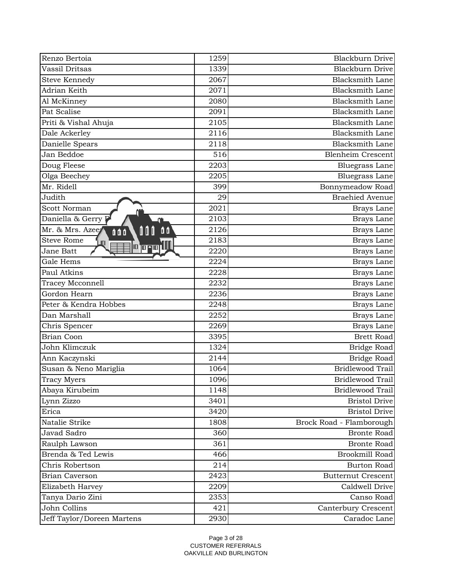| Renzo Bertoia                             | 1259 | <b>Blackburn Drive</b>    |
|-------------------------------------------|------|---------------------------|
| Vassil Dritsas                            | 1339 | <b>Blackburn Drive</b>    |
| <b>Steve Kennedy</b>                      | 2067 | <b>Blacksmith Lane</b>    |
| Adrian Keith                              | 2071 | <b>Blacksmith Lane</b>    |
| Al McKinney                               | 2080 | <b>Blacksmith Lane</b>    |
| Pat Scalise                               | 2091 | <b>Blacksmith Lane</b>    |
| Priti & Vishal Ahuja                      | 2105 | <b>Blacksmith Lane</b>    |
| Dale Ackerley                             | 2116 | <b>Blacksmith Lane</b>    |
| Danielle Spears                           | 2118 | <b>Blacksmith Lane</b>    |
| Jan Beddoe                                | 516  | <b>Blenheim Crescent</b>  |
| Doug Fleese                               | 2203 | <b>Bluegrass Lane</b>     |
| Olga Beechey                              | 2205 | <b>Bluegrass Lane</b>     |
| Mr. Ridell                                | 399  | Bonnymeadow Road          |
| Judith                                    | 29   | <b>Braehied Avenue</b>    |
| Scott Norman                              | 2021 | Brays Lane                |
| Daniella & Gerry                          | 2103 | Brays Lane                |
| Mr. & Mrs. Azee<br>00<br>000<br>000       | 2126 | Brays Lane                |
| <b>Steve Rome</b>                         | 2183 | Brays Lane                |
| <u> 10 m-ni ili</u> l<br><b>Jane Batt</b> | 2220 | Brays Lane                |
| Gale Hems                                 | 2224 | Brays Lane                |
| Paul Atkins                               | 2228 | Brays Lane                |
| Tracey Mcconnell                          | 2232 | Brays Lane                |
| Gordon Hearn                              | 2236 | Brays Lane                |
| Peter & Kendra Hobbes                     | 2248 | Brays Lane                |
| Dan Marshall                              | 2252 | Brays Lane                |
| Chris Spencer                             | 2269 | Brays Lane                |
| <b>Brian Coon</b>                         | 3395 | <b>Brett Road</b>         |
| John Klimczuk                             | 1324 | Bridge Road               |
| Ann Kaczynski                             | 2144 | Bridge Road               |
| Susan & Neno Mariglia                     | 1064 | Bridlewood Trail          |
| <b>Tracy Myers</b>                        | 1096 | Bridlewood Trail          |
| Abaya Kirubeim                            | 1148 | Bridlewood Trail          |
| Lynn Zizzo                                | 3401 | <b>Bristol Drive</b>      |
| Erica                                     | 3420 | <b>Bristol Drive</b>      |
| Natalie Strike                            | 1808 | Brock Road - Flamborough  |
| Javad Sadro                               | 360  | <b>Bronte Road</b>        |
| Raulph Lawson                             | 361  | <b>Bronte Road</b>        |
| Brenda & Ted Lewis                        | 466  | Brookmill Road            |
| Chris Robertson                           | 214  | <b>Burton Road</b>        |
| <b>Brian Caverson</b>                     | 2423 | <b>Butternut Crescent</b> |
| Elizabeth Harvey                          | 2209 | Caldwell Drive            |
| Tanya Dario Zini                          | 2353 | Canso Road                |
| John Collins                              | 421  | Canterbury Crescent       |
| Jeff Taylor/Doreen Martens                | 2930 | Caradoc Lane              |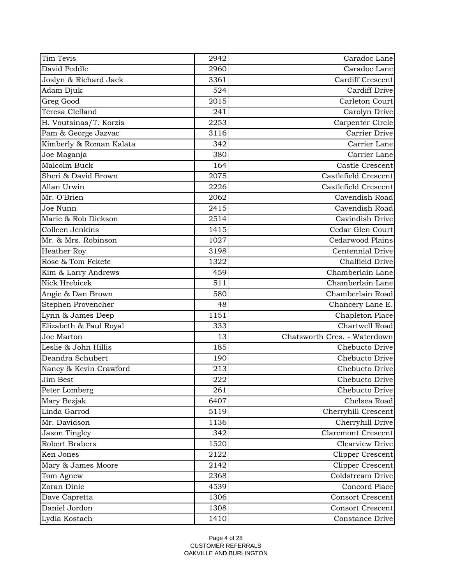| Tim Tevis               | 2942 | Caradoc Lane                 |
|-------------------------|------|------------------------------|
| David Peddle            | 2960 | Caradoc Lane                 |
| Joslyn & Richard Jack   | 3361 | <b>Cardiff Crescent</b>      |
| Adam Djuk               | 524  | Cardiff Drive                |
| Greg Good               | 2015 | Carleton Court               |
| Teresa Clelland         | 241  | Carolyn Drive                |
| H. Voutsinas/T. Korzis  | 2253 | Carpenter Circle             |
| Pam & George Jazvac     | 3116 | Carrier Drive                |
| Kimberly & Roman Kalata | 342  | Carrier Lane                 |
| Joe Maganja             | 380  | Carrier Lane                 |
| Malcolm Buck            | 164  | Castle Crescent              |
| Sheri & David Brown     | 2075 | Castlefield Crescent         |
| Allan Urwin             | 2226 | Castlefield Crescent         |
| Mr. O'Brien             | 2062 | Cavendish Road               |
| Joe Nunn                | 2415 | Cavendish Road               |
| Marie & Rob Dickson     | 2514 | Cavindish Drive              |
| Colleen Jenkins         | 1415 | Cedar Glen Court             |
| Mr. & Mrs. Robinson     | 1027 | Cedarwood Plains             |
| Heather Roy             | 3198 | Centennial Drive             |
| Rose & Tom Fekete       | 1322 | Chalfield Drive              |
| Kim & Larry Andrews     | 459  | Chamberlain Lane             |
| Nick Hrebicek           | 511  | Chamberlain Lane             |
| Angie & Dan Brown       | 580  | Chamberlain Road             |
| Stephen Provencher      | 48   | Chancery Lane E.             |
| Lynn & James Deep       | 1151 | Chapleton Place              |
| Elizabeth & Paul Royal  | 333  | Chartwell Road               |
| Joe Marton              | 13   | Chatsworth Cres. - Waterdown |
| Leslie & John Hillis    | 185  | Chebucto Drive               |
| Deandra Schubert        | 190  | Chebucto Drive               |
| Nancy & Kevin Crawford  | 213  | Chebucto Drive               |
| Jim Best                | 222  | Chebucto Drive               |
| Peter Lomberg           | 261  | Chebucto Drive               |
| Mary Bezjak             | 6407 | Chelsea Road                 |
| Linda Garrod            | 5119 | Cherryhill Crescent          |
| Mr. Davidson            | 1136 | Cherryhill Drive             |
| <b>Jason Tingley</b>    | 342  | <b>Claremont Crescent</b>    |
| <b>Robert Brabers</b>   | 1520 | Clearview Drive              |
| Ken Jones               | 2122 | <b>Clipper Crescent</b>      |
| Mary & James Moore      | 2142 | Clipper Crescent             |
| Tom Agnew               | 2368 | Coldstream Drive             |
| Zoran Dinic             | 4539 | Concord Place                |
| Dave Capretta           | 1306 | <b>Consort Crescent</b>      |
| Daniel Jordon           | 1308 | <b>Consort Crescent</b>      |
| Lydia Kostach           | 1410 | Constance Drive              |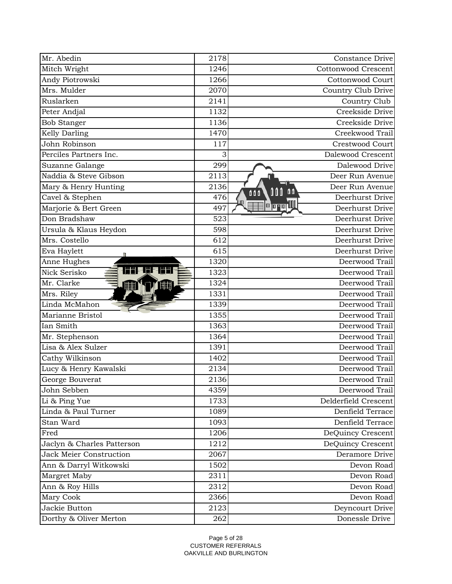| Mr. Abedin                           | 2178 | Constance Drive                            |
|--------------------------------------|------|--------------------------------------------|
| Mitch Wright                         | 1246 | <b>Cottonwood Crescent</b>                 |
| Andy Piotrowski                      | 1266 | <b>Cottonwood Court</b>                    |
| Mrs. Mulder                          | 2070 | Country Club Drive                         |
| Ruslarken                            | 2141 | Country Club                               |
| Peter Andjal                         | 1132 | Creekside Drive                            |
| <b>Bob Stanger</b>                   | 1136 | Creekside Drive                            |
| Kelly Darling                        | 1470 | Creekwood Trail                            |
| John Robinson                        | 117  | Crestwood Court                            |
| Perciles Partners Inc.               | 3    | Dalewood Crescent                          |
| Suzanne Galange                      | 299  | Dalewood Drive                             |
| Naddia & Steve Gibson                | 2113 | Deer Run Avenue                            |
| Mary & Henry Hunting                 | 2136 | Deer Run Avenue<br>$\mathbf{a}$<br>000     |
| Cavel & Stephen                      | 476  | 000<br>Deerhurst Drive                     |
| Marjorie & Bert Green                | 497  | <b>  a  a  a       </b><br>Deerhurst Drive |
| Don Bradshaw                         | 523  | Deerhurst Drive                            |
| Ursula & Klaus Heydon                | 598  | Deerhurst Drive                            |
| Mrs. Costello                        | 612  | Deerhurst Drive                            |
| Eva Haylett                          | 615  | Deerhurst Drive                            |
| Anne Hughes                          | 1320 | Deerwood Trail                             |
| "I"  = I"  =   "I"  <br>Nick Serisko | 1323 | Deerwood Trail                             |
| Mr. Clarke<br><b>HHH</b>             | 1324 | Deerwood Trail                             |
| Mrs. Riley                           | 1331 | Deerwood Trail                             |
| Linda McMahon                        | 1339 | Deerwood Trail                             |
| Marianne Bristol                     | 1355 | Deerwood Trail                             |
| Ian Smith                            | 1363 | Deerwood Trail                             |
| Mr. Stephenson                       | 1364 | Deerwood Trail                             |
| Lisa & Alex Sulzer                   | 1391 | Deerwood Trail                             |
| Cathy Wilkinson                      | 1402 | Deerwood Trail                             |
| Lucy & Henry Kawalski                | 2134 | Deerwood Trail                             |
| George Bouverat                      | 2136 | Deerwood Trail                             |
| John Sebben                          | 4359 | Deerwood Trail                             |
| Li & Ping Yue                        | 1733 | Delderfield Crescent                       |
| Linda & Paul Turner                  | 1089 | Denfield Terrace                           |
| Stan Ward                            | 1093 | Denfield Terrace                           |
| Fred                                 | 1206 | DeQuincy Crescent                          |
| Jaclyn & Charles Patterson           | 1212 | DeQuincy Crescent                          |
| <b>Jack Meier Construction</b>       | 2067 | Deramore Drive                             |
| Ann & Darryl Witkowski               | 1502 | Devon Road                                 |
| Margret Maby                         | 2311 | Devon Road                                 |
| Ann & Roy Hills                      | 2312 | Devon Road                                 |
| Mary Cook                            | 2366 | Devon Road                                 |
| Jackie Button                        | 2123 | Deyncourt Drive                            |
| Dorthy & Oliver Merton               | 262  | Donessle Drive                             |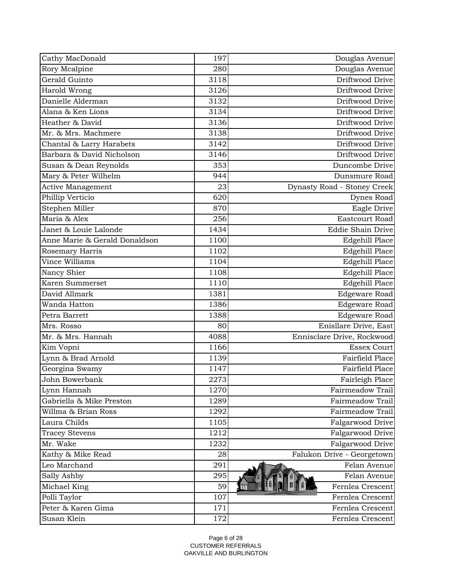| Douglas Avenue<br>Rory Mcalpine<br>280<br>Driftwood Drive<br>Gerald Guinto<br>3118<br>Driftwood Drive<br>Harold Wrong<br>3126<br>Danielle Alderman<br>3132<br>Driftwood Drive<br>Driftwood Drive<br>Alana & Ken Lions<br>3134<br>Heather & David<br>Driftwood Drive<br>3136<br>Driftwood Drive<br>Mr. & Mrs. Machmere<br>3138<br>Driftwood Drive<br>Chantal & Larry Harabets<br>3142<br>Barbara & David Nicholson<br>Driftwood Drive<br>3146<br>353<br>Duncombe Drive<br>Susan & Dean Reynolds<br>Mary & Peter Wilhelm<br>944<br>Dunsmure Road<br>Active Management<br>23<br>Dynasty Road - Stoney Creek<br>Phillip Verticio<br>620<br>Dynes Road<br>Stephen Miller<br>870<br>Eagle Drive<br>Maria & Alex<br>256<br><b>Eastcourt Road</b><br><b>Eddie Shain Drive</b><br>Janet & Louie Lalonde<br>1434<br>Anne Marie & Gerald Donaldson<br>1100<br>Edgehill Place<br>1102<br>Edgehill Place<br>Rosemary Harris<br>Vince Williams<br>1104<br>Edgehill Place<br>Nancy Shier<br>1108<br>Edgehill Place<br>Karen Summerset<br>Edgehill Place<br>1110<br>David Allmark<br><b>Edgeware Road</b><br>1381<br>Wanda Hatton<br>1386<br><b>Edgeware Road</b><br>Petra Barrett<br>1388<br>Edgeware Road<br>Mrs. Rosso<br>Enisllare Drive, East<br>80<br>Mr. & Mrs. Hannah<br>4088<br>Ennisclare Drive, Rockwood<br><b>Essex Court</b><br>Kim Vopni<br>1166<br>Lynn & Brad Arnold<br>Fairfield Place<br>1139<br>Georgina Swamy<br>1147<br>Fairfield Place<br>John Bowerbank<br>2273<br>Fairleigh Place<br>Lynn Hannah<br>1270<br>Fairmeadow Trail<br>Gabriella & Mike Preston<br>Fairmeadow Trail<br>1289<br>Willma & Brian Ross<br>1292<br>Fairmeadow Trail<br>Laura Childs<br>Falgarwood Drive<br>1105<br>Falgarwood Drive<br><b>Tracey Stevens</b><br>1212<br>Mr. Wake<br>1232<br>Falgarwood Drive<br>Kathy & Mike Read<br>28<br>Falukon Drive - Georgetown<br>Leo Marchand<br>291<br>Felan Avenue<br>Sally Ashby<br>295<br>Felan Avenue<br>Michael King<br>59<br>Fernlea Crescent<br>107<br>Polli Taylor<br>Fernlea Crescent<br>Peter & Karen Gima<br>171<br>Fernlea Crescent | Cathy MacDonald | 197 | Douglas Avenue   |
|----------------------------------------------------------------------------------------------------------------------------------------------------------------------------------------------------------------------------------------------------------------------------------------------------------------------------------------------------------------------------------------------------------------------------------------------------------------------------------------------------------------------------------------------------------------------------------------------------------------------------------------------------------------------------------------------------------------------------------------------------------------------------------------------------------------------------------------------------------------------------------------------------------------------------------------------------------------------------------------------------------------------------------------------------------------------------------------------------------------------------------------------------------------------------------------------------------------------------------------------------------------------------------------------------------------------------------------------------------------------------------------------------------------------------------------------------------------------------------------------------------------------------------------------------------------------------------------------------------------------------------------------------------------------------------------------------------------------------------------------------------------------------------------------------------------------------------------------------------------------------------------------------------------------------------------------------------------------------------------------------------------------------------------------------------------------|-----------------|-----|------------------|
|                                                                                                                                                                                                                                                                                                                                                                                                                                                                                                                                                                                                                                                                                                                                                                                                                                                                                                                                                                                                                                                                                                                                                                                                                                                                                                                                                                                                                                                                                                                                                                                                                                                                                                                                                                                                                                                                                                                                                                                                                                                                      |                 |     |                  |
|                                                                                                                                                                                                                                                                                                                                                                                                                                                                                                                                                                                                                                                                                                                                                                                                                                                                                                                                                                                                                                                                                                                                                                                                                                                                                                                                                                                                                                                                                                                                                                                                                                                                                                                                                                                                                                                                                                                                                                                                                                                                      |                 |     |                  |
|                                                                                                                                                                                                                                                                                                                                                                                                                                                                                                                                                                                                                                                                                                                                                                                                                                                                                                                                                                                                                                                                                                                                                                                                                                                                                                                                                                                                                                                                                                                                                                                                                                                                                                                                                                                                                                                                                                                                                                                                                                                                      |                 |     |                  |
|                                                                                                                                                                                                                                                                                                                                                                                                                                                                                                                                                                                                                                                                                                                                                                                                                                                                                                                                                                                                                                                                                                                                                                                                                                                                                                                                                                                                                                                                                                                                                                                                                                                                                                                                                                                                                                                                                                                                                                                                                                                                      |                 |     |                  |
|                                                                                                                                                                                                                                                                                                                                                                                                                                                                                                                                                                                                                                                                                                                                                                                                                                                                                                                                                                                                                                                                                                                                                                                                                                                                                                                                                                                                                                                                                                                                                                                                                                                                                                                                                                                                                                                                                                                                                                                                                                                                      |                 |     |                  |
|                                                                                                                                                                                                                                                                                                                                                                                                                                                                                                                                                                                                                                                                                                                                                                                                                                                                                                                                                                                                                                                                                                                                                                                                                                                                                                                                                                                                                                                                                                                                                                                                                                                                                                                                                                                                                                                                                                                                                                                                                                                                      |                 |     |                  |
|                                                                                                                                                                                                                                                                                                                                                                                                                                                                                                                                                                                                                                                                                                                                                                                                                                                                                                                                                                                                                                                                                                                                                                                                                                                                                                                                                                                                                                                                                                                                                                                                                                                                                                                                                                                                                                                                                                                                                                                                                                                                      |                 |     |                  |
|                                                                                                                                                                                                                                                                                                                                                                                                                                                                                                                                                                                                                                                                                                                                                                                                                                                                                                                                                                                                                                                                                                                                                                                                                                                                                                                                                                                                                                                                                                                                                                                                                                                                                                                                                                                                                                                                                                                                                                                                                                                                      |                 |     |                  |
|                                                                                                                                                                                                                                                                                                                                                                                                                                                                                                                                                                                                                                                                                                                                                                                                                                                                                                                                                                                                                                                                                                                                                                                                                                                                                                                                                                                                                                                                                                                                                                                                                                                                                                                                                                                                                                                                                                                                                                                                                                                                      |                 |     |                  |
|                                                                                                                                                                                                                                                                                                                                                                                                                                                                                                                                                                                                                                                                                                                                                                                                                                                                                                                                                                                                                                                                                                                                                                                                                                                                                                                                                                                                                                                                                                                                                                                                                                                                                                                                                                                                                                                                                                                                                                                                                                                                      |                 |     |                  |
|                                                                                                                                                                                                                                                                                                                                                                                                                                                                                                                                                                                                                                                                                                                                                                                                                                                                                                                                                                                                                                                                                                                                                                                                                                                                                                                                                                                                                                                                                                                                                                                                                                                                                                                                                                                                                                                                                                                                                                                                                                                                      |                 |     |                  |
|                                                                                                                                                                                                                                                                                                                                                                                                                                                                                                                                                                                                                                                                                                                                                                                                                                                                                                                                                                                                                                                                                                                                                                                                                                                                                                                                                                                                                                                                                                                                                                                                                                                                                                                                                                                                                                                                                                                                                                                                                                                                      |                 |     |                  |
|                                                                                                                                                                                                                                                                                                                                                                                                                                                                                                                                                                                                                                                                                                                                                                                                                                                                                                                                                                                                                                                                                                                                                                                                                                                                                                                                                                                                                                                                                                                                                                                                                                                                                                                                                                                                                                                                                                                                                                                                                                                                      |                 |     |                  |
|                                                                                                                                                                                                                                                                                                                                                                                                                                                                                                                                                                                                                                                                                                                                                                                                                                                                                                                                                                                                                                                                                                                                                                                                                                                                                                                                                                                                                                                                                                                                                                                                                                                                                                                                                                                                                                                                                                                                                                                                                                                                      |                 |     |                  |
|                                                                                                                                                                                                                                                                                                                                                                                                                                                                                                                                                                                                                                                                                                                                                                                                                                                                                                                                                                                                                                                                                                                                                                                                                                                                                                                                                                                                                                                                                                                                                                                                                                                                                                                                                                                                                                                                                                                                                                                                                                                                      |                 |     |                  |
|                                                                                                                                                                                                                                                                                                                                                                                                                                                                                                                                                                                                                                                                                                                                                                                                                                                                                                                                                                                                                                                                                                                                                                                                                                                                                                                                                                                                                                                                                                                                                                                                                                                                                                                                                                                                                                                                                                                                                                                                                                                                      |                 |     |                  |
|                                                                                                                                                                                                                                                                                                                                                                                                                                                                                                                                                                                                                                                                                                                                                                                                                                                                                                                                                                                                                                                                                                                                                                                                                                                                                                                                                                                                                                                                                                                                                                                                                                                                                                                                                                                                                                                                                                                                                                                                                                                                      |                 |     |                  |
|                                                                                                                                                                                                                                                                                                                                                                                                                                                                                                                                                                                                                                                                                                                                                                                                                                                                                                                                                                                                                                                                                                                                                                                                                                                                                                                                                                                                                                                                                                                                                                                                                                                                                                                                                                                                                                                                                                                                                                                                                                                                      |                 |     |                  |
|                                                                                                                                                                                                                                                                                                                                                                                                                                                                                                                                                                                                                                                                                                                                                                                                                                                                                                                                                                                                                                                                                                                                                                                                                                                                                                                                                                                                                                                                                                                                                                                                                                                                                                                                                                                                                                                                                                                                                                                                                                                                      |                 |     |                  |
|                                                                                                                                                                                                                                                                                                                                                                                                                                                                                                                                                                                                                                                                                                                                                                                                                                                                                                                                                                                                                                                                                                                                                                                                                                                                                                                                                                                                                                                                                                                                                                                                                                                                                                                                                                                                                                                                                                                                                                                                                                                                      |                 |     |                  |
|                                                                                                                                                                                                                                                                                                                                                                                                                                                                                                                                                                                                                                                                                                                                                                                                                                                                                                                                                                                                                                                                                                                                                                                                                                                                                                                                                                                                                                                                                                                                                                                                                                                                                                                                                                                                                                                                                                                                                                                                                                                                      |                 |     |                  |
|                                                                                                                                                                                                                                                                                                                                                                                                                                                                                                                                                                                                                                                                                                                                                                                                                                                                                                                                                                                                                                                                                                                                                                                                                                                                                                                                                                                                                                                                                                                                                                                                                                                                                                                                                                                                                                                                                                                                                                                                                                                                      |                 |     |                  |
|                                                                                                                                                                                                                                                                                                                                                                                                                                                                                                                                                                                                                                                                                                                                                                                                                                                                                                                                                                                                                                                                                                                                                                                                                                                                                                                                                                                                                                                                                                                                                                                                                                                                                                                                                                                                                                                                                                                                                                                                                                                                      |                 |     |                  |
|                                                                                                                                                                                                                                                                                                                                                                                                                                                                                                                                                                                                                                                                                                                                                                                                                                                                                                                                                                                                                                                                                                                                                                                                                                                                                                                                                                                                                                                                                                                                                                                                                                                                                                                                                                                                                                                                                                                                                                                                                                                                      |                 |     |                  |
|                                                                                                                                                                                                                                                                                                                                                                                                                                                                                                                                                                                                                                                                                                                                                                                                                                                                                                                                                                                                                                                                                                                                                                                                                                                                                                                                                                                                                                                                                                                                                                                                                                                                                                                                                                                                                                                                                                                                                                                                                                                                      |                 |     |                  |
|                                                                                                                                                                                                                                                                                                                                                                                                                                                                                                                                                                                                                                                                                                                                                                                                                                                                                                                                                                                                                                                                                                                                                                                                                                                                                                                                                                                                                                                                                                                                                                                                                                                                                                                                                                                                                                                                                                                                                                                                                                                                      |                 |     |                  |
|                                                                                                                                                                                                                                                                                                                                                                                                                                                                                                                                                                                                                                                                                                                                                                                                                                                                                                                                                                                                                                                                                                                                                                                                                                                                                                                                                                                                                                                                                                                                                                                                                                                                                                                                                                                                                                                                                                                                                                                                                                                                      |                 |     |                  |
|                                                                                                                                                                                                                                                                                                                                                                                                                                                                                                                                                                                                                                                                                                                                                                                                                                                                                                                                                                                                                                                                                                                                                                                                                                                                                                                                                                                                                                                                                                                                                                                                                                                                                                                                                                                                                                                                                                                                                                                                                                                                      |                 |     |                  |
|                                                                                                                                                                                                                                                                                                                                                                                                                                                                                                                                                                                                                                                                                                                                                                                                                                                                                                                                                                                                                                                                                                                                                                                                                                                                                                                                                                                                                                                                                                                                                                                                                                                                                                                                                                                                                                                                                                                                                                                                                                                                      |                 |     |                  |
|                                                                                                                                                                                                                                                                                                                                                                                                                                                                                                                                                                                                                                                                                                                                                                                                                                                                                                                                                                                                                                                                                                                                                                                                                                                                                                                                                                                                                                                                                                                                                                                                                                                                                                                                                                                                                                                                                                                                                                                                                                                                      |                 |     |                  |
|                                                                                                                                                                                                                                                                                                                                                                                                                                                                                                                                                                                                                                                                                                                                                                                                                                                                                                                                                                                                                                                                                                                                                                                                                                                                                                                                                                                                                                                                                                                                                                                                                                                                                                                                                                                                                                                                                                                                                                                                                                                                      |                 |     |                  |
|                                                                                                                                                                                                                                                                                                                                                                                                                                                                                                                                                                                                                                                                                                                                                                                                                                                                                                                                                                                                                                                                                                                                                                                                                                                                                                                                                                                                                                                                                                                                                                                                                                                                                                                                                                                                                                                                                                                                                                                                                                                                      |                 |     |                  |
|                                                                                                                                                                                                                                                                                                                                                                                                                                                                                                                                                                                                                                                                                                                                                                                                                                                                                                                                                                                                                                                                                                                                                                                                                                                                                                                                                                                                                                                                                                                                                                                                                                                                                                                                                                                                                                                                                                                                                                                                                                                                      |                 |     |                  |
|                                                                                                                                                                                                                                                                                                                                                                                                                                                                                                                                                                                                                                                                                                                                                                                                                                                                                                                                                                                                                                                                                                                                                                                                                                                                                                                                                                                                                                                                                                                                                                                                                                                                                                                                                                                                                                                                                                                                                                                                                                                                      |                 |     |                  |
|                                                                                                                                                                                                                                                                                                                                                                                                                                                                                                                                                                                                                                                                                                                                                                                                                                                                                                                                                                                                                                                                                                                                                                                                                                                                                                                                                                                                                                                                                                                                                                                                                                                                                                                                                                                                                                                                                                                                                                                                                                                                      |                 |     |                  |
|                                                                                                                                                                                                                                                                                                                                                                                                                                                                                                                                                                                                                                                                                                                                                                                                                                                                                                                                                                                                                                                                                                                                                                                                                                                                                                                                                                                                                                                                                                                                                                                                                                                                                                                                                                                                                                                                                                                                                                                                                                                                      |                 |     |                  |
|                                                                                                                                                                                                                                                                                                                                                                                                                                                                                                                                                                                                                                                                                                                                                                                                                                                                                                                                                                                                                                                                                                                                                                                                                                                                                                                                                                                                                                                                                                                                                                                                                                                                                                                                                                                                                                                                                                                                                                                                                                                                      |                 |     |                  |
|                                                                                                                                                                                                                                                                                                                                                                                                                                                                                                                                                                                                                                                                                                                                                                                                                                                                                                                                                                                                                                                                                                                                                                                                                                                                                                                                                                                                                                                                                                                                                                                                                                                                                                                                                                                                                                                                                                                                                                                                                                                                      |                 |     |                  |
|                                                                                                                                                                                                                                                                                                                                                                                                                                                                                                                                                                                                                                                                                                                                                                                                                                                                                                                                                                                                                                                                                                                                                                                                                                                                                                                                                                                                                                                                                                                                                                                                                                                                                                                                                                                                                                                                                                                                                                                                                                                                      |                 |     |                  |
|                                                                                                                                                                                                                                                                                                                                                                                                                                                                                                                                                                                                                                                                                                                                                                                                                                                                                                                                                                                                                                                                                                                                                                                                                                                                                                                                                                                                                                                                                                                                                                                                                                                                                                                                                                                                                                                                                                                                                                                                                                                                      |                 |     |                  |
|                                                                                                                                                                                                                                                                                                                                                                                                                                                                                                                                                                                                                                                                                                                                                                                                                                                                                                                                                                                                                                                                                                                                                                                                                                                                                                                                                                                                                                                                                                                                                                                                                                                                                                                                                                                                                                                                                                                                                                                                                                                                      |                 |     |                  |
|                                                                                                                                                                                                                                                                                                                                                                                                                                                                                                                                                                                                                                                                                                                                                                                                                                                                                                                                                                                                                                                                                                                                                                                                                                                                                                                                                                                                                                                                                                                                                                                                                                                                                                                                                                                                                                                                                                                                                                                                                                                                      |                 |     |                  |
|                                                                                                                                                                                                                                                                                                                                                                                                                                                                                                                                                                                                                                                                                                                                                                                                                                                                                                                                                                                                                                                                                                                                                                                                                                                                                                                                                                                                                                                                                                                                                                                                                                                                                                                                                                                                                                                                                                                                                                                                                                                                      | Susan Klein     | 172 | Fernlea Crescent |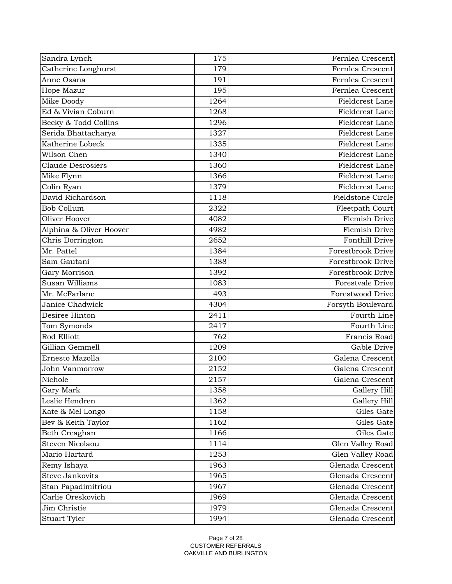| Sandra Lynch             | 175  | Fernlea Crescent         |
|--------------------------|------|--------------------------|
| Catherine Longhurst      | 179  | Fernlea Crescent         |
| Anne Osana               | 191  | Fernlea Crescent         |
| Hope Mazur               | 195  | Fernlea Crescent         |
| Mike Doody               | 1264 | Fieldcrest Lane          |
| Ed & Vivian Coburn       | 1268 | Fieldcrest Lane          |
| Becky & Todd Collins     | 1296 | Fieldcrest Lane          |
| Serida Bhattacharya      | 1327 | Fieldcrest Lane          |
| Katherine Lobeck         | 1335 | Fieldcrest Lane          |
| Wilson Chen              | 1340 | Fieldcrest Lane          |
| <b>Claude Desrosiers</b> | 1360 | Fieldcrest Lane          |
| Mike Flynn               | 1366 | Fieldcrest Lane          |
| Colin Ryan               | 1379 | Fieldcrest Lane          |
| David Richardson         | 1118 | <b>Fieldstone Circle</b> |
| <b>Bob Collum</b>        | 2322 | Fleetpath Court          |
| Oliver Hoover            | 4082 | Flemish Drive            |
| Alphina & Oliver Hoover  | 4982 | Flemish Drive            |
| Chris Dorrington         | 2652 | Fonthill Drive           |
| Mr. Pattel               | 1384 | Forestbrook Drive        |
| Sam Gautani              | 1388 | Forestbrook Drive        |
| Gary Morrison            | 1392 | Forestbrook Drive        |
| Susan Williams           | 1083 | Forestvale Drive         |
| Mr. McFarlane            | 493  | Forestwood Drive         |
| Janice Chadwick          | 4304 | Forsyth Boulevard        |
| Desiree Hinton           | 2411 | Fourth Line              |
| Tom Symonds              | 2417 | Fourth Line              |
| Rod Elliott              | 762  | Francis Road             |
| Gillian Gemmell          | 1209 | Gable Drive              |
| Ernesto Mazolla          | 2100 | Galena Crescent          |
| John Vanmorrow           | 2152 | Galena Crescent          |
| Nichole                  | 2157 | Galena Crescent          |
| Gary Mark                | 1358 | Gallery Hill             |
| Leslie Hendren           | 1362 | Gallery Hill             |
| Kate & Mel Longo         | 1158 | Giles Gate               |
| Bev & Keith Taylor       | 1162 | Giles Gate               |
| Beth Creaghan            | 1166 | Giles Gate               |
| Steven Nicolaou          | 1114 | Glen Valley Road         |
| Mario Hartard            | 1253 | Glen Valley Road         |
| Remy Ishaya              | 1963 | Glenada Crescent         |
| <b>Steve Jankovits</b>   | 1965 | Glenada Crescent         |
| Stan Papadimitriou       | 1967 | Glenada Crescent         |
| Carlie Oreskovich        | 1969 | Glenada Crescent         |
| Jim Christie             | 1979 | Glenada Crescent         |
| Stuart Tyler             | 1994 | Glenada Crescent         |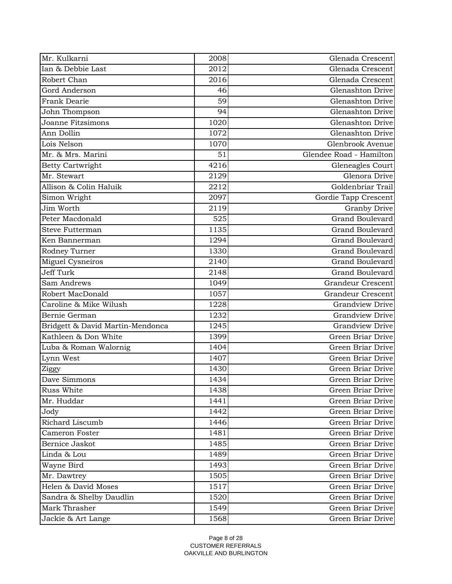| Ian & Debbie Last<br>2012<br>Glenada Crescent<br>Robert Chan<br>2016<br>Glenada Crescent<br>Gord Anderson<br>Glenashton Drive<br>46<br>Frank Dearie<br>59<br>Glenashton Drive<br>Glenashton Drive<br>94<br>John Thompson<br>Joanne Fitzsimons<br>1020<br>Glenashton Drive<br>Glenashton Drive<br>Ann Dollin<br>1072<br>Glenbrook Avenue<br>Lois Nelson<br>1070<br>Glendee Road - Hamilton<br>Mr. & Mrs. Marini<br>51<br>4216<br><b>Betty Cartwright</b><br>Gleneagles Court<br>Mr. Stewart<br>2129<br>Glenora Drive<br>Allison & Colin Haluik<br>Goldenbriar Trail<br>2212<br>Simon Wright<br>2097<br>Gordie Tapp Crescent<br>Jim Worth<br>2119<br><b>Granby Drive</b><br>Peter Macdonald<br>525<br><b>Grand Boulevard</b><br>1135<br><b>Grand Boulevard</b><br><b>Steve Futterman</b><br><b>Grand Boulevard</b><br>Ken Bannerman<br>1294<br><b>Grand Boulevard</b><br>Rodney Turner<br>1330<br>Miguel Cysneiros<br><b>Grand Boulevard</b><br>2140<br>Jeff Turk<br><b>Grand Boulevard</b><br>2148<br>Sam Andrews<br><b>Grandeur Crescent</b><br>1049<br>Robert MacDonald<br>1057<br><b>Grandeur Crescent</b><br>Caroline & Mike Wilush<br>1228<br><b>Grandview Drive</b><br><b>Grandview Drive</b><br>Bernie German<br>1232<br>Grandview Drive<br>Bridgett & David Martin-Mendonca<br>1245<br>Kathleen & Don White<br>Green Briar Drive<br>1399<br>Green Briar Drive<br>Luba & Roman Walornig<br>1404<br>Lynn West<br>1407<br>Green Briar Drive<br>Green Briar Drive<br>1430<br>Ziggy<br>Dave Simmons<br>1434<br>Green Briar Drive<br>Russ White<br>1438<br>Green Briar Drive<br>Mr. Huddar<br>Green Briar Drive<br>1441<br>1442<br>Green Briar Drive<br>Jody<br>Richard Liscumb<br>Green Briar Drive<br>1446<br>Cameron Foster<br>1481<br>Green Briar Drive<br>Bernice Jaskot<br>Green Briar Drive<br>1485<br>Linda & Lou<br>1489<br>Green Briar Drive<br>Green Briar Drive<br>Wayne Bird<br>1493<br>Green Briar Drive<br>Mr. Dawtrey<br>1505<br>Helen & David Moses<br>1517<br>Green Briar Drive<br>Green Briar Drive<br>Sandra & Shelby Daudlin<br>1520<br>Mark Thrasher<br>1549<br>Green Briar Drive<br>Jackie & Art Lange<br>1568<br>Green Briar Drive | Mr. Kulkarni | 2008 | Glenada Crescent |
|-------------------------------------------------------------------------------------------------------------------------------------------------------------------------------------------------------------------------------------------------------------------------------------------------------------------------------------------------------------------------------------------------------------------------------------------------------------------------------------------------------------------------------------------------------------------------------------------------------------------------------------------------------------------------------------------------------------------------------------------------------------------------------------------------------------------------------------------------------------------------------------------------------------------------------------------------------------------------------------------------------------------------------------------------------------------------------------------------------------------------------------------------------------------------------------------------------------------------------------------------------------------------------------------------------------------------------------------------------------------------------------------------------------------------------------------------------------------------------------------------------------------------------------------------------------------------------------------------------------------------------------------------------------------------------------------------------------------------------------------------------------------------------------------------------------------------------------------------------------------------------------------------------------------------------------------------------------------------------------------------------------------------------------------------------------------------------------------------------------------------------------------------------------|--------------|------|------------------|
|                                                                                                                                                                                                                                                                                                                                                                                                                                                                                                                                                                                                                                                                                                                                                                                                                                                                                                                                                                                                                                                                                                                                                                                                                                                                                                                                                                                                                                                                                                                                                                                                                                                                                                                                                                                                                                                                                                                                                                                                                                                                                                                                                             |              |      |                  |
|                                                                                                                                                                                                                                                                                                                                                                                                                                                                                                                                                                                                                                                                                                                                                                                                                                                                                                                                                                                                                                                                                                                                                                                                                                                                                                                                                                                                                                                                                                                                                                                                                                                                                                                                                                                                                                                                                                                                                                                                                                                                                                                                                             |              |      |                  |
|                                                                                                                                                                                                                                                                                                                                                                                                                                                                                                                                                                                                                                                                                                                                                                                                                                                                                                                                                                                                                                                                                                                                                                                                                                                                                                                                                                                                                                                                                                                                                                                                                                                                                                                                                                                                                                                                                                                                                                                                                                                                                                                                                             |              |      |                  |
|                                                                                                                                                                                                                                                                                                                                                                                                                                                                                                                                                                                                                                                                                                                                                                                                                                                                                                                                                                                                                                                                                                                                                                                                                                                                                                                                                                                                                                                                                                                                                                                                                                                                                                                                                                                                                                                                                                                                                                                                                                                                                                                                                             |              |      |                  |
|                                                                                                                                                                                                                                                                                                                                                                                                                                                                                                                                                                                                                                                                                                                                                                                                                                                                                                                                                                                                                                                                                                                                                                                                                                                                                                                                                                                                                                                                                                                                                                                                                                                                                                                                                                                                                                                                                                                                                                                                                                                                                                                                                             |              |      |                  |
|                                                                                                                                                                                                                                                                                                                                                                                                                                                                                                                                                                                                                                                                                                                                                                                                                                                                                                                                                                                                                                                                                                                                                                                                                                                                                                                                                                                                                                                                                                                                                                                                                                                                                                                                                                                                                                                                                                                                                                                                                                                                                                                                                             |              |      |                  |
|                                                                                                                                                                                                                                                                                                                                                                                                                                                                                                                                                                                                                                                                                                                                                                                                                                                                                                                                                                                                                                                                                                                                                                                                                                                                                                                                                                                                                                                                                                                                                                                                                                                                                                                                                                                                                                                                                                                                                                                                                                                                                                                                                             |              |      |                  |
|                                                                                                                                                                                                                                                                                                                                                                                                                                                                                                                                                                                                                                                                                                                                                                                                                                                                                                                                                                                                                                                                                                                                                                                                                                                                                                                                                                                                                                                                                                                                                                                                                                                                                                                                                                                                                                                                                                                                                                                                                                                                                                                                                             |              |      |                  |
|                                                                                                                                                                                                                                                                                                                                                                                                                                                                                                                                                                                                                                                                                                                                                                                                                                                                                                                                                                                                                                                                                                                                                                                                                                                                                                                                                                                                                                                                                                                                                                                                                                                                                                                                                                                                                                                                                                                                                                                                                                                                                                                                                             |              |      |                  |
|                                                                                                                                                                                                                                                                                                                                                                                                                                                                                                                                                                                                                                                                                                                                                                                                                                                                                                                                                                                                                                                                                                                                                                                                                                                                                                                                                                                                                                                                                                                                                                                                                                                                                                                                                                                                                                                                                                                                                                                                                                                                                                                                                             |              |      |                  |
|                                                                                                                                                                                                                                                                                                                                                                                                                                                                                                                                                                                                                                                                                                                                                                                                                                                                                                                                                                                                                                                                                                                                                                                                                                                                                                                                                                                                                                                                                                                                                                                                                                                                                                                                                                                                                                                                                                                                                                                                                                                                                                                                                             |              |      |                  |
|                                                                                                                                                                                                                                                                                                                                                                                                                                                                                                                                                                                                                                                                                                                                                                                                                                                                                                                                                                                                                                                                                                                                                                                                                                                                                                                                                                                                                                                                                                                                                                                                                                                                                                                                                                                                                                                                                                                                                                                                                                                                                                                                                             |              |      |                  |
|                                                                                                                                                                                                                                                                                                                                                                                                                                                                                                                                                                                                                                                                                                                                                                                                                                                                                                                                                                                                                                                                                                                                                                                                                                                                                                                                                                                                                                                                                                                                                                                                                                                                                                                                                                                                                                                                                                                                                                                                                                                                                                                                                             |              |      |                  |
|                                                                                                                                                                                                                                                                                                                                                                                                                                                                                                                                                                                                                                                                                                                                                                                                                                                                                                                                                                                                                                                                                                                                                                                                                                                                                                                                                                                                                                                                                                                                                                                                                                                                                                                                                                                                                                                                                                                                                                                                                                                                                                                                                             |              |      |                  |
|                                                                                                                                                                                                                                                                                                                                                                                                                                                                                                                                                                                                                                                                                                                                                                                                                                                                                                                                                                                                                                                                                                                                                                                                                                                                                                                                                                                                                                                                                                                                                                                                                                                                                                                                                                                                                                                                                                                                                                                                                                                                                                                                                             |              |      |                  |
|                                                                                                                                                                                                                                                                                                                                                                                                                                                                                                                                                                                                                                                                                                                                                                                                                                                                                                                                                                                                                                                                                                                                                                                                                                                                                                                                                                                                                                                                                                                                                                                                                                                                                                                                                                                                                                                                                                                                                                                                                                                                                                                                                             |              |      |                  |
|                                                                                                                                                                                                                                                                                                                                                                                                                                                                                                                                                                                                                                                                                                                                                                                                                                                                                                                                                                                                                                                                                                                                                                                                                                                                                                                                                                                                                                                                                                                                                                                                                                                                                                                                                                                                                                                                                                                                                                                                                                                                                                                                                             |              |      |                  |
|                                                                                                                                                                                                                                                                                                                                                                                                                                                                                                                                                                                                                                                                                                                                                                                                                                                                                                                                                                                                                                                                                                                                                                                                                                                                                                                                                                                                                                                                                                                                                                                                                                                                                                                                                                                                                                                                                                                                                                                                                                                                                                                                                             |              |      |                  |
|                                                                                                                                                                                                                                                                                                                                                                                                                                                                                                                                                                                                                                                                                                                                                                                                                                                                                                                                                                                                                                                                                                                                                                                                                                                                                                                                                                                                                                                                                                                                                                                                                                                                                                                                                                                                                                                                                                                                                                                                                                                                                                                                                             |              |      |                  |
|                                                                                                                                                                                                                                                                                                                                                                                                                                                                                                                                                                                                                                                                                                                                                                                                                                                                                                                                                                                                                                                                                                                                                                                                                                                                                                                                                                                                                                                                                                                                                                                                                                                                                                                                                                                                                                                                                                                                                                                                                                                                                                                                                             |              |      |                  |
|                                                                                                                                                                                                                                                                                                                                                                                                                                                                                                                                                                                                                                                                                                                                                                                                                                                                                                                                                                                                                                                                                                                                                                                                                                                                                                                                                                                                                                                                                                                                                                                                                                                                                                                                                                                                                                                                                                                                                                                                                                                                                                                                                             |              |      |                  |
|                                                                                                                                                                                                                                                                                                                                                                                                                                                                                                                                                                                                                                                                                                                                                                                                                                                                                                                                                                                                                                                                                                                                                                                                                                                                                                                                                                                                                                                                                                                                                                                                                                                                                                                                                                                                                                                                                                                                                                                                                                                                                                                                                             |              |      |                  |
|                                                                                                                                                                                                                                                                                                                                                                                                                                                                                                                                                                                                                                                                                                                                                                                                                                                                                                                                                                                                                                                                                                                                                                                                                                                                                                                                                                                                                                                                                                                                                                                                                                                                                                                                                                                                                                                                                                                                                                                                                                                                                                                                                             |              |      |                  |
|                                                                                                                                                                                                                                                                                                                                                                                                                                                                                                                                                                                                                                                                                                                                                                                                                                                                                                                                                                                                                                                                                                                                                                                                                                                                                                                                                                                                                                                                                                                                                                                                                                                                                                                                                                                                                                                                                                                                                                                                                                                                                                                                                             |              |      |                  |
|                                                                                                                                                                                                                                                                                                                                                                                                                                                                                                                                                                                                                                                                                                                                                                                                                                                                                                                                                                                                                                                                                                                                                                                                                                                                                                                                                                                                                                                                                                                                                                                                                                                                                                                                                                                                                                                                                                                                                                                                                                                                                                                                                             |              |      |                  |
|                                                                                                                                                                                                                                                                                                                                                                                                                                                                                                                                                                                                                                                                                                                                                                                                                                                                                                                                                                                                                                                                                                                                                                                                                                                                                                                                                                                                                                                                                                                                                                                                                                                                                                                                                                                                                                                                                                                                                                                                                                                                                                                                                             |              |      |                  |
|                                                                                                                                                                                                                                                                                                                                                                                                                                                                                                                                                                                                                                                                                                                                                                                                                                                                                                                                                                                                                                                                                                                                                                                                                                                                                                                                                                                                                                                                                                                                                                                                                                                                                                                                                                                                                                                                                                                                                                                                                                                                                                                                                             |              |      |                  |
|                                                                                                                                                                                                                                                                                                                                                                                                                                                                                                                                                                                                                                                                                                                                                                                                                                                                                                                                                                                                                                                                                                                                                                                                                                                                                                                                                                                                                                                                                                                                                                                                                                                                                                                                                                                                                                                                                                                                                                                                                                                                                                                                                             |              |      |                  |
|                                                                                                                                                                                                                                                                                                                                                                                                                                                                                                                                                                                                                                                                                                                                                                                                                                                                                                                                                                                                                                                                                                                                                                                                                                                                                                                                                                                                                                                                                                                                                                                                                                                                                                                                                                                                                                                                                                                                                                                                                                                                                                                                                             |              |      |                  |
|                                                                                                                                                                                                                                                                                                                                                                                                                                                                                                                                                                                                                                                                                                                                                                                                                                                                                                                                                                                                                                                                                                                                                                                                                                                                                                                                                                                                                                                                                                                                                                                                                                                                                                                                                                                                                                                                                                                                                                                                                                                                                                                                                             |              |      |                  |
|                                                                                                                                                                                                                                                                                                                                                                                                                                                                                                                                                                                                                                                                                                                                                                                                                                                                                                                                                                                                                                                                                                                                                                                                                                                                                                                                                                                                                                                                                                                                                                                                                                                                                                                                                                                                                                                                                                                                                                                                                                                                                                                                                             |              |      |                  |
|                                                                                                                                                                                                                                                                                                                                                                                                                                                                                                                                                                                                                                                                                                                                                                                                                                                                                                                                                                                                                                                                                                                                                                                                                                                                                                                                                                                                                                                                                                                                                                                                                                                                                                                                                                                                                                                                                                                                                                                                                                                                                                                                                             |              |      |                  |
|                                                                                                                                                                                                                                                                                                                                                                                                                                                                                                                                                                                                                                                                                                                                                                                                                                                                                                                                                                                                                                                                                                                                                                                                                                                                                                                                                                                                                                                                                                                                                                                                                                                                                                                                                                                                                                                                                                                                                                                                                                                                                                                                                             |              |      |                  |
|                                                                                                                                                                                                                                                                                                                                                                                                                                                                                                                                                                                                                                                                                                                                                                                                                                                                                                                                                                                                                                                                                                                                                                                                                                                                                                                                                                                                                                                                                                                                                                                                                                                                                                                                                                                                                                                                                                                                                                                                                                                                                                                                                             |              |      |                  |
|                                                                                                                                                                                                                                                                                                                                                                                                                                                                                                                                                                                                                                                                                                                                                                                                                                                                                                                                                                                                                                                                                                                                                                                                                                                                                                                                                                                                                                                                                                                                                                                                                                                                                                                                                                                                                                                                                                                                                                                                                                                                                                                                                             |              |      |                  |
|                                                                                                                                                                                                                                                                                                                                                                                                                                                                                                                                                                                                                                                                                                                                                                                                                                                                                                                                                                                                                                                                                                                                                                                                                                                                                                                                                                                                                                                                                                                                                                                                                                                                                                                                                                                                                                                                                                                                                                                                                                                                                                                                                             |              |      |                  |
|                                                                                                                                                                                                                                                                                                                                                                                                                                                                                                                                                                                                                                                                                                                                                                                                                                                                                                                                                                                                                                                                                                                                                                                                                                                                                                                                                                                                                                                                                                                                                                                                                                                                                                                                                                                                                                                                                                                                                                                                                                                                                                                                                             |              |      |                  |
|                                                                                                                                                                                                                                                                                                                                                                                                                                                                                                                                                                                                                                                                                                                                                                                                                                                                                                                                                                                                                                                                                                                                                                                                                                                                                                                                                                                                                                                                                                                                                                                                                                                                                                                                                                                                                                                                                                                                                                                                                                                                                                                                                             |              |      |                  |
|                                                                                                                                                                                                                                                                                                                                                                                                                                                                                                                                                                                                                                                                                                                                                                                                                                                                                                                                                                                                                                                                                                                                                                                                                                                                                                                                                                                                                                                                                                                                                                                                                                                                                                                                                                                                                                                                                                                                                                                                                                                                                                                                                             |              |      |                  |
|                                                                                                                                                                                                                                                                                                                                                                                                                                                                                                                                                                                                                                                                                                                                                                                                                                                                                                                                                                                                                                                                                                                                                                                                                                                                                                                                                                                                                                                                                                                                                                                                                                                                                                                                                                                                                                                                                                                                                                                                                                                                                                                                                             |              |      |                  |
|                                                                                                                                                                                                                                                                                                                                                                                                                                                                                                                                                                                                                                                                                                                                                                                                                                                                                                                                                                                                                                                                                                                                                                                                                                                                                                                                                                                                                                                                                                                                                                                                                                                                                                                                                                                                                                                                                                                                                                                                                                                                                                                                                             |              |      |                  |
|                                                                                                                                                                                                                                                                                                                                                                                                                                                                                                                                                                                                                                                                                                                                                                                                                                                                                                                                                                                                                                                                                                                                                                                                                                                                                                                                                                                                                                                                                                                                                                                                                                                                                                                                                                                                                                                                                                                                                                                                                                                                                                                                                             |              |      |                  |
|                                                                                                                                                                                                                                                                                                                                                                                                                                                                                                                                                                                                                                                                                                                                                                                                                                                                                                                                                                                                                                                                                                                                                                                                                                                                                                                                                                                                                                                                                                                                                                                                                                                                                                                                                                                                                                                                                                                                                                                                                                                                                                                                                             |              |      |                  |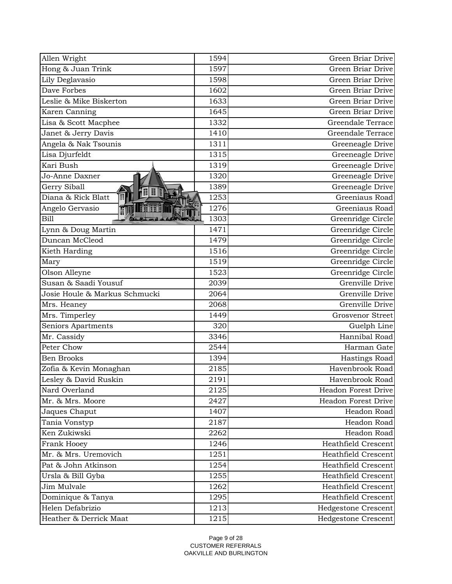| Allen Wright                                 | 1594 | Green Briar Drive          |
|----------------------------------------------|------|----------------------------|
| Hong & Juan Trink                            | 1597 | Green Briar Drive          |
| Lily Deglavasio                              | 1598 | Green Briar Drive          |
| Dave Forbes                                  | 1602 | Green Briar Drive          |
| Leslie & Mike Biskerton                      | 1633 | Green Briar Drive          |
| Karen Canning                                | 1645 | Green Briar Drive          |
| Lisa & Scott Macphee                         | 1332 | Greendale Terrace          |
| Janet & Jerry Davis                          | 1410 | Greendale Terrace          |
| Angela & Nak Tsounis                         | 1311 | Greeneagle Drive           |
| Lisa Djurfeldt                               | 1315 | Greeneagle Drive           |
| Kari Bush                                    | 1319 | Greeneagle Drive           |
| Jo-Anne Daxner                               | 1320 | Greeneagle Drive           |
| Gerry Siball                                 | 1389 | Greeneagle Drive           |
| 70 D B<br>$\mathbb{H}$<br>Diana & Rick Blatt | 1253 | Greeniaus Road             |
| Angelo Gervasio                              | 1276 | Greeniaus Road             |
| Bill                                         | 1303 | Greenridge Circle          |
| Lynn & Doug Martin                           | 1471 | Greenridge Circle          |
| Duncan McCleod                               | 1479 | Greenridge Circle          |
| Kieth Harding                                | 1516 | Greenridge Circle          |
| Mary                                         | 1519 | Greenridge Circle          |
| Olson Alleyne                                | 1523 | Greenridge Circle          |
| Susan & Saadi Yousuf                         | 2039 | Grenville Drive            |
| Josie Houle & Markus Schmucki                | 2064 | Grenville Drive            |
| Mrs. Heaney                                  | 2068 | Grenville Drive            |
| Mrs. Timperley                               | 1449 | <b>Grosvenor Street</b>    |
| Seniors Apartments                           | 320  | Guelph Line                |
| Mr. Cassidy                                  | 3346 | Hannibal Road              |
| Peter Chow                                   | 2544 | Harman Gate                |
| <b>Ben Brooks</b>                            | 1394 | Hastings Road              |
| Zofia & Kevin Monaghan                       | 2185 | Havenbrook Road            |
| Lesley & David Ruskin                        | 2191 | Havenbrook Road            |
| Nard Overland                                | 2125 | Headon Forest Drive        |
| Mr. & Mrs. Moore                             | 2427 | Headon Forest Drive        |
| Jaques Chaput                                | 1407 | Headon Road                |
| Tania Vonstyp                                | 2187 | Headon Road                |
| Ken Zukiwski                                 | 2262 | Headon Road                |
| Frank Hooey                                  | 1246 | <b>Heathfield Crescent</b> |
| Mr. & Mrs. Uremovich                         | 1251 | <b>Heathfield Crescent</b> |
| Pat & John Atkinson                          | 1254 | <b>Heathfield Crescent</b> |
| Ursla & Bill Gyba                            | 1255 | Heathfield Crescent        |
| Jim Mulvale                                  | 1262 | Heathfield Crescent        |
| Dominique & Tanya                            | 1295 | <b>Heathfield Crescent</b> |
| Helen Defabrizio                             | 1213 | Hedgestone Crescent        |
| Heather & Derrick Maat                       | 1215 | Hedgestone Crescent        |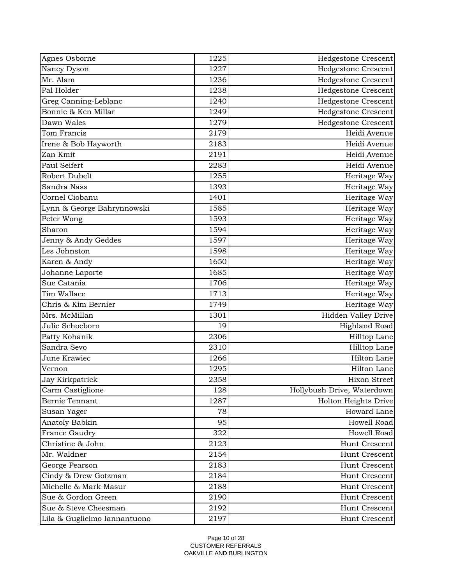| Nancy Dyson<br>Hedgestone Crescent<br>1227<br>Mr. Alam<br><b>Hedgestone Crescent</b><br>1236<br>Pal Holder<br>Hedgestone Crescent<br>1238<br>1240<br><b>Hedgestone Crescent</b><br>Greg Canning-Leblanc<br>Bonnie & Ken Millar<br>Hedgestone Crescent<br>1249<br>Dawn Wales<br>1279<br>Hedgestone Crescent<br>Heidi Avenue<br>Tom Francis<br>2179<br>Heidi Avenue<br>Irene & Bob Hayworth<br>2183<br>Zan Kmit<br>Heidi Avenue<br>2191<br>Paul Seifert<br>Heidi Avenue<br>2283<br>Robert Dubelt<br>1255<br>Heritage Way<br>Sandra Nass<br>1393<br>Heritage Way<br>Cornel Ciobanu<br>Heritage Way<br>1401<br>Heritage Way<br>Lynn & George Bahrynnowski<br>1585<br>Peter Wong<br>Heritage Way<br>1593<br>Heritage Way<br>1594<br>Sharon<br>Heritage Way<br>Jenny & Andy Geddes<br>1597<br>Les Johnston<br>1598<br>Heritage Way<br>Heritage Way<br>1650<br>Karen & Andy<br>Heritage Way<br>Johanne Laporte<br>1685<br>Sue Catania<br>Heritage Way<br>1706<br>1713<br>Tim Wallace<br>Heritage Way<br>Chris & Kim Bernier<br>1749<br>Heritage Way<br>Hidden Valley Drive<br>Mrs. McMillan<br>1301<br>Julie Schoeborn<br><b>Highland Road</b><br>19<br>Patty Kohanik<br>2306<br>Hilltop Lane<br>Sandra Sevo<br>Hilltop Lane<br>2310<br>Hilton Lane<br>June Krawiec<br>1266<br>1295<br>Hilton Lane<br>Vernon<br>2358<br>Jay Kirkpatrick<br>Carm Castiglione<br>128<br>Hollybush Drive, Waterdown<br>Bernie Tennant<br>1287<br>Holton Heights Drive<br>Howard Lane<br>78<br>Susan Yager<br>Howell Road<br>Anatoly Babkin<br>95<br>322<br>Howell Road<br>France Gaudry<br>Christine & John<br>2123<br>Hunt Crescent<br>Mr. Waldner<br>2154<br>Hunt Crescent<br>George Pearson<br>2183<br>Hunt Crescent<br>Cindy & Drew Gotzman<br>Hunt Crescent<br>2184<br>Michelle & Mark Masur<br>2188<br>Hunt Crescent<br>Sue & Gordon Green<br>2190<br>Hunt Crescent<br>2192<br>Sue & Steve Cheesman<br>Hunt Crescent | Agnes Osborne | 1225 | Hedgestone Crescent |
|--------------------------------------------------------------------------------------------------------------------------------------------------------------------------------------------------------------------------------------------------------------------------------------------------------------------------------------------------------------------------------------------------------------------------------------------------------------------------------------------------------------------------------------------------------------------------------------------------------------------------------------------------------------------------------------------------------------------------------------------------------------------------------------------------------------------------------------------------------------------------------------------------------------------------------------------------------------------------------------------------------------------------------------------------------------------------------------------------------------------------------------------------------------------------------------------------------------------------------------------------------------------------------------------------------------------------------------------------------------------------------------------------------------------------------------------------------------------------------------------------------------------------------------------------------------------------------------------------------------------------------------------------------------------------------------------------------------------------------------------------------------------------------------------------------------------------------------------------------------------------------------------------|---------------|------|---------------------|
|                                                                                                                                                                                                                                                                                                                                                                                                                                                                                                                                                                                                                                                                                                                                                                                                                                                                                                                                                                                                                                                                                                                                                                                                                                                                                                                                                                                                                                                                                                                                                                                                                                                                                                                                                                                                                                                                                                  |               |      |                     |
|                                                                                                                                                                                                                                                                                                                                                                                                                                                                                                                                                                                                                                                                                                                                                                                                                                                                                                                                                                                                                                                                                                                                                                                                                                                                                                                                                                                                                                                                                                                                                                                                                                                                                                                                                                                                                                                                                                  |               |      |                     |
|                                                                                                                                                                                                                                                                                                                                                                                                                                                                                                                                                                                                                                                                                                                                                                                                                                                                                                                                                                                                                                                                                                                                                                                                                                                                                                                                                                                                                                                                                                                                                                                                                                                                                                                                                                                                                                                                                                  |               |      |                     |
|                                                                                                                                                                                                                                                                                                                                                                                                                                                                                                                                                                                                                                                                                                                                                                                                                                                                                                                                                                                                                                                                                                                                                                                                                                                                                                                                                                                                                                                                                                                                                                                                                                                                                                                                                                                                                                                                                                  |               |      |                     |
|                                                                                                                                                                                                                                                                                                                                                                                                                                                                                                                                                                                                                                                                                                                                                                                                                                                                                                                                                                                                                                                                                                                                                                                                                                                                                                                                                                                                                                                                                                                                                                                                                                                                                                                                                                                                                                                                                                  |               |      |                     |
|                                                                                                                                                                                                                                                                                                                                                                                                                                                                                                                                                                                                                                                                                                                                                                                                                                                                                                                                                                                                                                                                                                                                                                                                                                                                                                                                                                                                                                                                                                                                                                                                                                                                                                                                                                                                                                                                                                  |               |      |                     |
|                                                                                                                                                                                                                                                                                                                                                                                                                                                                                                                                                                                                                                                                                                                                                                                                                                                                                                                                                                                                                                                                                                                                                                                                                                                                                                                                                                                                                                                                                                                                                                                                                                                                                                                                                                                                                                                                                                  |               |      |                     |
|                                                                                                                                                                                                                                                                                                                                                                                                                                                                                                                                                                                                                                                                                                                                                                                                                                                                                                                                                                                                                                                                                                                                                                                                                                                                                                                                                                                                                                                                                                                                                                                                                                                                                                                                                                                                                                                                                                  |               |      |                     |
|                                                                                                                                                                                                                                                                                                                                                                                                                                                                                                                                                                                                                                                                                                                                                                                                                                                                                                                                                                                                                                                                                                                                                                                                                                                                                                                                                                                                                                                                                                                                                                                                                                                                                                                                                                                                                                                                                                  |               |      |                     |
|                                                                                                                                                                                                                                                                                                                                                                                                                                                                                                                                                                                                                                                                                                                                                                                                                                                                                                                                                                                                                                                                                                                                                                                                                                                                                                                                                                                                                                                                                                                                                                                                                                                                                                                                                                                                                                                                                                  |               |      |                     |
| Hixon Street                                                                                                                                                                                                                                                                                                                                                                                                                                                                                                                                                                                                                                                                                                                                                                                                                                                                                                                                                                                                                                                                                                                                                                                                                                                                                                                                                                                                                                                                                                                                                                                                                                                                                                                                                                                                                                                                                     |               |      |                     |
|                                                                                                                                                                                                                                                                                                                                                                                                                                                                                                                                                                                                                                                                                                                                                                                                                                                                                                                                                                                                                                                                                                                                                                                                                                                                                                                                                                                                                                                                                                                                                                                                                                                                                                                                                                                                                                                                                                  |               |      |                     |
|                                                                                                                                                                                                                                                                                                                                                                                                                                                                                                                                                                                                                                                                                                                                                                                                                                                                                                                                                                                                                                                                                                                                                                                                                                                                                                                                                                                                                                                                                                                                                                                                                                                                                                                                                                                                                                                                                                  |               |      |                     |
|                                                                                                                                                                                                                                                                                                                                                                                                                                                                                                                                                                                                                                                                                                                                                                                                                                                                                                                                                                                                                                                                                                                                                                                                                                                                                                                                                                                                                                                                                                                                                                                                                                                                                                                                                                                                                                                                                                  |               |      |                     |
|                                                                                                                                                                                                                                                                                                                                                                                                                                                                                                                                                                                                                                                                                                                                                                                                                                                                                                                                                                                                                                                                                                                                                                                                                                                                                                                                                                                                                                                                                                                                                                                                                                                                                                                                                                                                                                                                                                  |               |      |                     |
|                                                                                                                                                                                                                                                                                                                                                                                                                                                                                                                                                                                                                                                                                                                                                                                                                                                                                                                                                                                                                                                                                                                                                                                                                                                                                                                                                                                                                                                                                                                                                                                                                                                                                                                                                                                                                                                                                                  |               |      |                     |
|                                                                                                                                                                                                                                                                                                                                                                                                                                                                                                                                                                                                                                                                                                                                                                                                                                                                                                                                                                                                                                                                                                                                                                                                                                                                                                                                                                                                                                                                                                                                                                                                                                                                                                                                                                                                                                                                                                  |               |      |                     |
|                                                                                                                                                                                                                                                                                                                                                                                                                                                                                                                                                                                                                                                                                                                                                                                                                                                                                                                                                                                                                                                                                                                                                                                                                                                                                                                                                                                                                                                                                                                                                                                                                                                                                                                                                                                                                                                                                                  |               |      |                     |
|                                                                                                                                                                                                                                                                                                                                                                                                                                                                                                                                                                                                                                                                                                                                                                                                                                                                                                                                                                                                                                                                                                                                                                                                                                                                                                                                                                                                                                                                                                                                                                                                                                                                                                                                                                                                                                                                                                  |               |      |                     |
|                                                                                                                                                                                                                                                                                                                                                                                                                                                                                                                                                                                                                                                                                                                                                                                                                                                                                                                                                                                                                                                                                                                                                                                                                                                                                                                                                                                                                                                                                                                                                                                                                                                                                                                                                                                                                                                                                                  |               |      |                     |
|                                                                                                                                                                                                                                                                                                                                                                                                                                                                                                                                                                                                                                                                                                                                                                                                                                                                                                                                                                                                                                                                                                                                                                                                                                                                                                                                                                                                                                                                                                                                                                                                                                                                                                                                                                                                                                                                                                  |               |      |                     |
|                                                                                                                                                                                                                                                                                                                                                                                                                                                                                                                                                                                                                                                                                                                                                                                                                                                                                                                                                                                                                                                                                                                                                                                                                                                                                                                                                                                                                                                                                                                                                                                                                                                                                                                                                                                                                                                                                                  |               |      |                     |
|                                                                                                                                                                                                                                                                                                                                                                                                                                                                                                                                                                                                                                                                                                                                                                                                                                                                                                                                                                                                                                                                                                                                                                                                                                                                                                                                                                                                                                                                                                                                                                                                                                                                                                                                                                                                                                                                                                  |               |      |                     |
|                                                                                                                                                                                                                                                                                                                                                                                                                                                                                                                                                                                                                                                                                                                                                                                                                                                                                                                                                                                                                                                                                                                                                                                                                                                                                                                                                                                                                                                                                                                                                                                                                                                                                                                                                                                                                                                                                                  |               |      |                     |
|                                                                                                                                                                                                                                                                                                                                                                                                                                                                                                                                                                                                                                                                                                                                                                                                                                                                                                                                                                                                                                                                                                                                                                                                                                                                                                                                                                                                                                                                                                                                                                                                                                                                                                                                                                                                                                                                                                  |               |      |                     |
|                                                                                                                                                                                                                                                                                                                                                                                                                                                                                                                                                                                                                                                                                                                                                                                                                                                                                                                                                                                                                                                                                                                                                                                                                                                                                                                                                                                                                                                                                                                                                                                                                                                                                                                                                                                                                                                                                                  |               |      |                     |
|                                                                                                                                                                                                                                                                                                                                                                                                                                                                                                                                                                                                                                                                                                                                                                                                                                                                                                                                                                                                                                                                                                                                                                                                                                                                                                                                                                                                                                                                                                                                                                                                                                                                                                                                                                                                                                                                                                  |               |      |                     |
|                                                                                                                                                                                                                                                                                                                                                                                                                                                                                                                                                                                                                                                                                                                                                                                                                                                                                                                                                                                                                                                                                                                                                                                                                                                                                                                                                                                                                                                                                                                                                                                                                                                                                                                                                                                                                                                                                                  |               |      |                     |
|                                                                                                                                                                                                                                                                                                                                                                                                                                                                                                                                                                                                                                                                                                                                                                                                                                                                                                                                                                                                                                                                                                                                                                                                                                                                                                                                                                                                                                                                                                                                                                                                                                                                                                                                                                                                                                                                                                  |               |      |                     |
|                                                                                                                                                                                                                                                                                                                                                                                                                                                                                                                                                                                                                                                                                                                                                                                                                                                                                                                                                                                                                                                                                                                                                                                                                                                                                                                                                                                                                                                                                                                                                                                                                                                                                                                                                                                                                                                                                                  |               |      |                     |
|                                                                                                                                                                                                                                                                                                                                                                                                                                                                                                                                                                                                                                                                                                                                                                                                                                                                                                                                                                                                                                                                                                                                                                                                                                                                                                                                                                                                                                                                                                                                                                                                                                                                                                                                                                                                                                                                                                  |               |      |                     |
|                                                                                                                                                                                                                                                                                                                                                                                                                                                                                                                                                                                                                                                                                                                                                                                                                                                                                                                                                                                                                                                                                                                                                                                                                                                                                                                                                                                                                                                                                                                                                                                                                                                                                                                                                                                                                                                                                                  |               |      |                     |
|                                                                                                                                                                                                                                                                                                                                                                                                                                                                                                                                                                                                                                                                                                                                                                                                                                                                                                                                                                                                                                                                                                                                                                                                                                                                                                                                                                                                                                                                                                                                                                                                                                                                                                                                                                                                                                                                                                  |               |      |                     |
|                                                                                                                                                                                                                                                                                                                                                                                                                                                                                                                                                                                                                                                                                                                                                                                                                                                                                                                                                                                                                                                                                                                                                                                                                                                                                                                                                                                                                                                                                                                                                                                                                                                                                                                                                                                                                                                                                                  |               |      |                     |
|                                                                                                                                                                                                                                                                                                                                                                                                                                                                                                                                                                                                                                                                                                                                                                                                                                                                                                                                                                                                                                                                                                                                                                                                                                                                                                                                                                                                                                                                                                                                                                                                                                                                                                                                                                                                                                                                                                  |               |      |                     |
|                                                                                                                                                                                                                                                                                                                                                                                                                                                                                                                                                                                                                                                                                                                                                                                                                                                                                                                                                                                                                                                                                                                                                                                                                                                                                                                                                                                                                                                                                                                                                                                                                                                                                                                                                                                                                                                                                                  |               |      |                     |
|                                                                                                                                                                                                                                                                                                                                                                                                                                                                                                                                                                                                                                                                                                                                                                                                                                                                                                                                                                                                                                                                                                                                                                                                                                                                                                                                                                                                                                                                                                                                                                                                                                                                                                                                                                                                                                                                                                  |               |      |                     |
|                                                                                                                                                                                                                                                                                                                                                                                                                                                                                                                                                                                                                                                                                                                                                                                                                                                                                                                                                                                                                                                                                                                                                                                                                                                                                                                                                                                                                                                                                                                                                                                                                                                                                                                                                                                                                                                                                                  |               |      |                     |
|                                                                                                                                                                                                                                                                                                                                                                                                                                                                                                                                                                                                                                                                                                                                                                                                                                                                                                                                                                                                                                                                                                                                                                                                                                                                                                                                                                                                                                                                                                                                                                                                                                                                                                                                                                                                                                                                                                  |               |      |                     |
|                                                                                                                                                                                                                                                                                                                                                                                                                                                                                                                                                                                                                                                                                                                                                                                                                                                                                                                                                                                                                                                                                                                                                                                                                                                                                                                                                                                                                                                                                                                                                                                                                                                                                                                                                                                                                                                                                                  |               |      |                     |
|                                                                                                                                                                                                                                                                                                                                                                                                                                                                                                                                                                                                                                                                                                                                                                                                                                                                                                                                                                                                                                                                                                                                                                                                                                                                                                                                                                                                                                                                                                                                                                                                                                                                                                                                                                                                                                                                                                  |               |      |                     |
|                                                                                                                                                                                                                                                                                                                                                                                                                                                                                                                                                                                                                                                                                                                                                                                                                                                                                                                                                                                                                                                                                                                                                                                                                                                                                                                                                                                                                                                                                                                                                                                                                                                                                                                                                                                                                                                                                                  |               |      |                     |
| Lila & Guglielmo Iannantuono<br>2197<br>Hunt Crescent                                                                                                                                                                                                                                                                                                                                                                                                                                                                                                                                                                                                                                                                                                                                                                                                                                                                                                                                                                                                                                                                                                                                                                                                                                                                                                                                                                                                                                                                                                                                                                                                                                                                                                                                                                                                                                            |               |      |                     |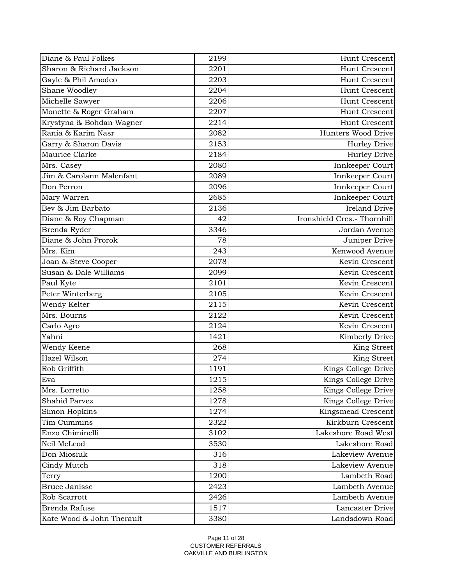| Sharon & Richard Jackson<br>2201<br>Hunt Crescent<br>Gayle & Phil Amodeo<br>2203<br>Hunt Crescent<br>Shane Woodley<br>2204<br>Hunt Crescent<br>Michelle Sawyer<br>2206<br>Hunt Crescent<br>Monette & Roger Graham<br>2207<br>Hunt Crescent<br>Krystyna & Bohdan Wagner<br>2214<br>Hunt Crescent<br>Rania & Karim Nasr<br>Hunters Wood Drive<br>2082<br>Garry & Sharon Davis<br>2153<br>Hurley Drive<br>Maurice Clarke<br>2184<br>Hurley Drive<br>Innkeeper Court<br>Mrs. Casey<br>2080<br>Jim & Carolann Malenfant<br>Innkeeper Court<br>2089<br>Don Perron<br>Innkeeper Court<br>2096<br>2685<br>Mary Warren<br>Innkeeper Court<br>Bev & Jim Barbato<br><b>Ireland Drive</b><br>2136<br>Ironshield Cres.- Thornhill<br>Diane & Roy Chapman<br>42<br>3346<br>Jordan Avenue<br>Brenda Ryder<br>Diane & John Prorok<br>78<br>Juniper Drive<br>Mrs. Kim<br>243<br>Kenwood Avenue<br>2078<br>Kevin Crescent<br>Joan & Steve Cooper<br>Susan & Dale Williams<br>Kevin Crescent<br>2099<br>Kevin Crescent<br>Paul Kyte<br>2101<br>Peter Winterberg<br>Kevin Crescent<br>2105 |
|------------------------------------------------------------------------------------------------------------------------------------------------------------------------------------------------------------------------------------------------------------------------------------------------------------------------------------------------------------------------------------------------------------------------------------------------------------------------------------------------------------------------------------------------------------------------------------------------------------------------------------------------------------------------------------------------------------------------------------------------------------------------------------------------------------------------------------------------------------------------------------------------------------------------------------------------------------------------------------------------------------------------------------------------------------------------|
|                                                                                                                                                                                                                                                                                                                                                                                                                                                                                                                                                                                                                                                                                                                                                                                                                                                                                                                                                                                                                                                                        |
|                                                                                                                                                                                                                                                                                                                                                                                                                                                                                                                                                                                                                                                                                                                                                                                                                                                                                                                                                                                                                                                                        |
|                                                                                                                                                                                                                                                                                                                                                                                                                                                                                                                                                                                                                                                                                                                                                                                                                                                                                                                                                                                                                                                                        |
|                                                                                                                                                                                                                                                                                                                                                                                                                                                                                                                                                                                                                                                                                                                                                                                                                                                                                                                                                                                                                                                                        |
|                                                                                                                                                                                                                                                                                                                                                                                                                                                                                                                                                                                                                                                                                                                                                                                                                                                                                                                                                                                                                                                                        |
|                                                                                                                                                                                                                                                                                                                                                                                                                                                                                                                                                                                                                                                                                                                                                                                                                                                                                                                                                                                                                                                                        |
|                                                                                                                                                                                                                                                                                                                                                                                                                                                                                                                                                                                                                                                                                                                                                                                                                                                                                                                                                                                                                                                                        |
|                                                                                                                                                                                                                                                                                                                                                                                                                                                                                                                                                                                                                                                                                                                                                                                                                                                                                                                                                                                                                                                                        |
|                                                                                                                                                                                                                                                                                                                                                                                                                                                                                                                                                                                                                                                                                                                                                                                                                                                                                                                                                                                                                                                                        |
|                                                                                                                                                                                                                                                                                                                                                                                                                                                                                                                                                                                                                                                                                                                                                                                                                                                                                                                                                                                                                                                                        |
|                                                                                                                                                                                                                                                                                                                                                                                                                                                                                                                                                                                                                                                                                                                                                                                                                                                                                                                                                                                                                                                                        |
|                                                                                                                                                                                                                                                                                                                                                                                                                                                                                                                                                                                                                                                                                                                                                                                                                                                                                                                                                                                                                                                                        |
|                                                                                                                                                                                                                                                                                                                                                                                                                                                                                                                                                                                                                                                                                                                                                                                                                                                                                                                                                                                                                                                                        |
|                                                                                                                                                                                                                                                                                                                                                                                                                                                                                                                                                                                                                                                                                                                                                                                                                                                                                                                                                                                                                                                                        |
|                                                                                                                                                                                                                                                                                                                                                                                                                                                                                                                                                                                                                                                                                                                                                                                                                                                                                                                                                                                                                                                                        |
|                                                                                                                                                                                                                                                                                                                                                                                                                                                                                                                                                                                                                                                                                                                                                                                                                                                                                                                                                                                                                                                                        |
|                                                                                                                                                                                                                                                                                                                                                                                                                                                                                                                                                                                                                                                                                                                                                                                                                                                                                                                                                                                                                                                                        |
|                                                                                                                                                                                                                                                                                                                                                                                                                                                                                                                                                                                                                                                                                                                                                                                                                                                                                                                                                                                                                                                                        |
|                                                                                                                                                                                                                                                                                                                                                                                                                                                                                                                                                                                                                                                                                                                                                                                                                                                                                                                                                                                                                                                                        |
|                                                                                                                                                                                                                                                                                                                                                                                                                                                                                                                                                                                                                                                                                                                                                                                                                                                                                                                                                                                                                                                                        |
|                                                                                                                                                                                                                                                                                                                                                                                                                                                                                                                                                                                                                                                                                                                                                                                                                                                                                                                                                                                                                                                                        |
|                                                                                                                                                                                                                                                                                                                                                                                                                                                                                                                                                                                                                                                                                                                                                                                                                                                                                                                                                                                                                                                                        |
| Wendy Kelter<br>2115<br>Kevin Crescent                                                                                                                                                                                                                                                                                                                                                                                                                                                                                                                                                                                                                                                                                                                                                                                                                                                                                                                                                                                                                                 |
| Mrs. Bourns<br>2122<br>Kevin Crescent                                                                                                                                                                                                                                                                                                                                                                                                                                                                                                                                                                                                                                                                                                                                                                                                                                                                                                                                                                                                                                  |
| 2124<br>Kevin Crescent<br>Carlo Agro                                                                                                                                                                                                                                                                                                                                                                                                                                                                                                                                                                                                                                                                                                                                                                                                                                                                                                                                                                                                                                   |
| Yahni<br>1421<br>Kimberly Drive                                                                                                                                                                                                                                                                                                                                                                                                                                                                                                                                                                                                                                                                                                                                                                                                                                                                                                                                                                                                                                        |
| Wendy Keene<br>268<br><b>King Street</b>                                                                                                                                                                                                                                                                                                                                                                                                                                                                                                                                                                                                                                                                                                                                                                                                                                                                                                                                                                                                                               |
| Hazel Wilson<br>274<br>King Street                                                                                                                                                                                                                                                                                                                                                                                                                                                                                                                                                                                                                                                                                                                                                                                                                                                                                                                                                                                                                                     |
| Rob Griffith<br>Kings College Drive<br>1191                                                                                                                                                                                                                                                                                                                                                                                                                                                                                                                                                                                                                                                                                                                                                                                                                                                                                                                                                                                                                            |
| 1215<br>Kings College Drive<br>Eva                                                                                                                                                                                                                                                                                                                                                                                                                                                                                                                                                                                                                                                                                                                                                                                                                                                                                                                                                                                                                                     |
| 1258<br>Kings College Drive<br>Mrs. Lorretto                                                                                                                                                                                                                                                                                                                                                                                                                                                                                                                                                                                                                                                                                                                                                                                                                                                                                                                                                                                                                           |
| Kings College Drive<br>Shahid Parvez<br>1278                                                                                                                                                                                                                                                                                                                                                                                                                                                                                                                                                                                                                                                                                                                                                                                                                                                                                                                                                                                                                           |
| Simon Hopkins<br>Kingsmead Crescent<br>1274                                                                                                                                                                                                                                                                                                                                                                                                                                                                                                                                                                                                                                                                                                                                                                                                                                                                                                                                                                                                                            |
| Tim Cummins<br>Kirkburn Crescent<br>2322                                                                                                                                                                                                                                                                                                                                                                                                                                                                                                                                                                                                                                                                                                                                                                                                                                                                                                                                                                                                                               |
| Enzo Chiminelli<br>Lakeshore Road West<br>3102                                                                                                                                                                                                                                                                                                                                                                                                                                                                                                                                                                                                                                                                                                                                                                                                                                                                                                                                                                                                                         |
| Neil McLeod<br>3530<br>Lakeshore Road                                                                                                                                                                                                                                                                                                                                                                                                                                                                                                                                                                                                                                                                                                                                                                                                                                                                                                                                                                                                                                  |
| Don Miosiuk<br>316<br>Lakeview Avenue                                                                                                                                                                                                                                                                                                                                                                                                                                                                                                                                                                                                                                                                                                                                                                                                                                                                                                                                                                                                                                  |
| Cindy Mutch<br>318<br>Lakeview Avenue                                                                                                                                                                                                                                                                                                                                                                                                                                                                                                                                                                                                                                                                                                                                                                                                                                                                                                                                                                                                                                  |
| 1200<br>Lambeth Road<br>Terry                                                                                                                                                                                                                                                                                                                                                                                                                                                                                                                                                                                                                                                                                                                                                                                                                                                                                                                                                                                                                                          |
| Bruce Janisse<br>Lambeth Avenue<br>2423                                                                                                                                                                                                                                                                                                                                                                                                                                                                                                                                                                                                                                                                                                                                                                                                                                                                                                                                                                                                                                |
| Rob Scarrott<br>2426<br>Lambeth Avenue                                                                                                                                                                                                                                                                                                                                                                                                                                                                                                                                                                                                                                                                                                                                                                                                                                                                                                                                                                                                                                 |
| Brenda Rafuse<br>1517<br>Lancaster Drive                                                                                                                                                                                                                                                                                                                                                                                                                                                                                                                                                                                                                                                                                                                                                                                                                                                                                                                                                                                                                               |
| Kate Wood & John Therault<br>3380<br>Landsdown Road                                                                                                                                                                                                                                                                                                                                                                                                                                                                                                                                                                                                                                                                                                                                                                                                                                                                                                                                                                                                                    |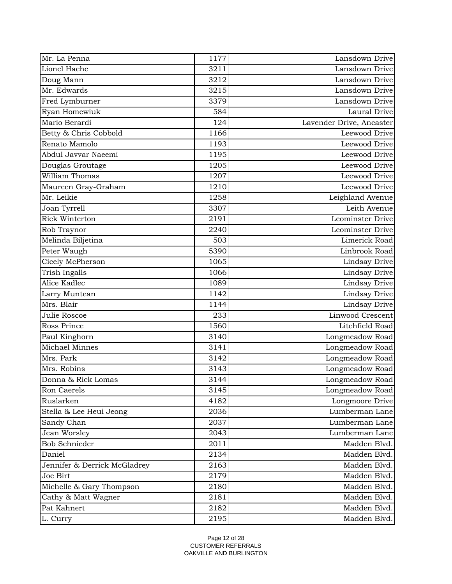| Lionel Hache<br>3211<br>Lansdown Drive<br>Lansdown Drive<br>3212<br>Doug Mann<br>Mr. Edwards<br>Lansdown Drive<br>3215<br>Fred Lymburner<br>3379<br>Lansdown Drive<br>Ryan Homewiuk<br>Laural Drive<br>584<br>Mario Berardi<br>124<br>Lavender Drive, Ancaster<br>Betty & Chris Cobbold<br>1166<br>Leewood Drive<br>Renato Mamolo<br>Leewood Drive<br>1193<br>Abdul Javvar Naeemi<br>Leewood Drive<br>1195<br>Douglas Groutage<br>1205<br>Leewood Drive<br>William Thomas<br>1207<br>Leewood Drive<br><b>Leewood Drive</b><br>Maureen Gray-Graham<br>1210<br>Mr. Leikie<br>1258<br>Leighland Avenue<br>Leith Avenue<br>Joan Tyrrell<br>3307<br><b>Rick Winterton</b><br>2191<br>Leominster Drive<br>Rob Traynor<br>2240<br>Leominster Drive<br>Limerick Road<br>Melinda Biljetina<br>503<br>Peter Waugh<br>5390<br>Linbrook Road<br>Cicely McPherson<br>1065<br>Lindsay Drive<br>Trish Ingalls<br>Lindsay Drive<br>1066<br>Alice Kadlec<br>Lindsay Drive<br>1089<br>Lindsay Drive<br>Larry Muntean<br>1142<br>Mrs. Blair<br>1144<br>Lindsay Drive<br>Linwood Crescent<br>Julie Roscoe<br>233<br>Ross Prince<br>Litchfield Road<br>1560<br>Paul Kinghorn<br>3140<br>Longmeadow Road<br>Michael Minnes<br>Longmeadow Road<br>3141<br>Mrs. Park<br>Longmeadow Road<br>3142<br>Mrs. Robins<br>Longmeadow Road<br>3143<br>Longmeadow Road<br>Donna & Rick Lomas<br>3144<br>3145<br>Ron Caerels<br>Longmeadow Road<br>Ruslarken<br>4182<br>Longmoore Drive<br>Lumberman Lane<br>Stella & Lee Heui Jeong<br>2036<br>2037<br>Lumberman Lane<br>Sandy Chan<br>Jean Worsley<br>2043<br>Lumberman Lane<br><b>Bob Schnieder</b><br>2011<br>Madden Blvd.<br>2134<br>Madden Blvd.<br>Daniel<br>Madden Blvd.<br>Jennifer & Derrick McGladrey<br>2163<br>2179<br>Madden Blvd.<br>Joe Birt<br>Madden Blvd.<br>2180<br>Michelle & Gary Thompson<br>Madden Blvd.<br>Cathy & Matt Wagner<br>2181<br>2182<br>Pat Kahnert<br>Madden Blvd.<br>Madden Blvd.<br>2195<br>L. Curry | Mr. La Penna | 1177 | Lansdown Drive |
|---------------------------------------------------------------------------------------------------------------------------------------------------------------------------------------------------------------------------------------------------------------------------------------------------------------------------------------------------------------------------------------------------------------------------------------------------------------------------------------------------------------------------------------------------------------------------------------------------------------------------------------------------------------------------------------------------------------------------------------------------------------------------------------------------------------------------------------------------------------------------------------------------------------------------------------------------------------------------------------------------------------------------------------------------------------------------------------------------------------------------------------------------------------------------------------------------------------------------------------------------------------------------------------------------------------------------------------------------------------------------------------------------------------------------------------------------------------------------------------------------------------------------------------------------------------------------------------------------------------------------------------------------------------------------------------------------------------------------------------------------------------------------------------------------------------------------------------------------------------------------------------------------------------------------------------------------------|--------------|------|----------------|
|                                                                                                                                                                                                                                                                                                                                                                                                                                                                                                                                                                                                                                                                                                                                                                                                                                                                                                                                                                                                                                                                                                                                                                                                                                                                                                                                                                                                                                                                                                                                                                                                                                                                                                                                                                                                                                                                                                                                                         |              |      |                |
|                                                                                                                                                                                                                                                                                                                                                                                                                                                                                                                                                                                                                                                                                                                                                                                                                                                                                                                                                                                                                                                                                                                                                                                                                                                                                                                                                                                                                                                                                                                                                                                                                                                                                                                                                                                                                                                                                                                                                         |              |      |                |
|                                                                                                                                                                                                                                                                                                                                                                                                                                                                                                                                                                                                                                                                                                                                                                                                                                                                                                                                                                                                                                                                                                                                                                                                                                                                                                                                                                                                                                                                                                                                                                                                                                                                                                                                                                                                                                                                                                                                                         |              |      |                |
|                                                                                                                                                                                                                                                                                                                                                                                                                                                                                                                                                                                                                                                                                                                                                                                                                                                                                                                                                                                                                                                                                                                                                                                                                                                                                                                                                                                                                                                                                                                                                                                                                                                                                                                                                                                                                                                                                                                                                         |              |      |                |
|                                                                                                                                                                                                                                                                                                                                                                                                                                                                                                                                                                                                                                                                                                                                                                                                                                                                                                                                                                                                                                                                                                                                                                                                                                                                                                                                                                                                                                                                                                                                                                                                                                                                                                                                                                                                                                                                                                                                                         |              |      |                |
|                                                                                                                                                                                                                                                                                                                                                                                                                                                                                                                                                                                                                                                                                                                                                                                                                                                                                                                                                                                                                                                                                                                                                                                                                                                                                                                                                                                                                                                                                                                                                                                                                                                                                                                                                                                                                                                                                                                                                         |              |      |                |
|                                                                                                                                                                                                                                                                                                                                                                                                                                                                                                                                                                                                                                                                                                                                                                                                                                                                                                                                                                                                                                                                                                                                                                                                                                                                                                                                                                                                                                                                                                                                                                                                                                                                                                                                                                                                                                                                                                                                                         |              |      |                |
|                                                                                                                                                                                                                                                                                                                                                                                                                                                                                                                                                                                                                                                                                                                                                                                                                                                                                                                                                                                                                                                                                                                                                                                                                                                                                                                                                                                                                                                                                                                                                                                                                                                                                                                                                                                                                                                                                                                                                         |              |      |                |
|                                                                                                                                                                                                                                                                                                                                                                                                                                                                                                                                                                                                                                                                                                                                                                                                                                                                                                                                                                                                                                                                                                                                                                                                                                                                                                                                                                                                                                                                                                                                                                                                                                                                                                                                                                                                                                                                                                                                                         |              |      |                |
|                                                                                                                                                                                                                                                                                                                                                                                                                                                                                                                                                                                                                                                                                                                                                                                                                                                                                                                                                                                                                                                                                                                                                                                                                                                                                                                                                                                                                                                                                                                                                                                                                                                                                                                                                                                                                                                                                                                                                         |              |      |                |
|                                                                                                                                                                                                                                                                                                                                                                                                                                                                                                                                                                                                                                                                                                                                                                                                                                                                                                                                                                                                                                                                                                                                                                                                                                                                                                                                                                                                                                                                                                                                                                                                                                                                                                                                                                                                                                                                                                                                                         |              |      |                |
|                                                                                                                                                                                                                                                                                                                                                                                                                                                                                                                                                                                                                                                                                                                                                                                                                                                                                                                                                                                                                                                                                                                                                                                                                                                                                                                                                                                                                                                                                                                                                                                                                                                                                                                                                                                                                                                                                                                                                         |              |      |                |
|                                                                                                                                                                                                                                                                                                                                                                                                                                                                                                                                                                                                                                                                                                                                                                                                                                                                                                                                                                                                                                                                                                                                                                                                                                                                                                                                                                                                                                                                                                                                                                                                                                                                                                                                                                                                                                                                                                                                                         |              |      |                |
|                                                                                                                                                                                                                                                                                                                                                                                                                                                                                                                                                                                                                                                                                                                                                                                                                                                                                                                                                                                                                                                                                                                                                                                                                                                                                                                                                                                                                                                                                                                                                                                                                                                                                                                                                                                                                                                                                                                                                         |              |      |                |
|                                                                                                                                                                                                                                                                                                                                                                                                                                                                                                                                                                                                                                                                                                                                                                                                                                                                                                                                                                                                                                                                                                                                                                                                                                                                                                                                                                                                                                                                                                                                                                                                                                                                                                                                                                                                                                                                                                                                                         |              |      |                |
|                                                                                                                                                                                                                                                                                                                                                                                                                                                                                                                                                                                                                                                                                                                                                                                                                                                                                                                                                                                                                                                                                                                                                                                                                                                                                                                                                                                                                                                                                                                                                                                                                                                                                                                                                                                                                                                                                                                                                         |              |      |                |
|                                                                                                                                                                                                                                                                                                                                                                                                                                                                                                                                                                                                                                                                                                                                                                                                                                                                                                                                                                                                                                                                                                                                                                                                                                                                                                                                                                                                                                                                                                                                                                                                                                                                                                                                                                                                                                                                                                                                                         |              |      |                |
|                                                                                                                                                                                                                                                                                                                                                                                                                                                                                                                                                                                                                                                                                                                                                                                                                                                                                                                                                                                                                                                                                                                                                                                                                                                                                                                                                                                                                                                                                                                                                                                                                                                                                                                                                                                                                                                                                                                                                         |              |      |                |
|                                                                                                                                                                                                                                                                                                                                                                                                                                                                                                                                                                                                                                                                                                                                                                                                                                                                                                                                                                                                                                                                                                                                                                                                                                                                                                                                                                                                                                                                                                                                                                                                                                                                                                                                                                                                                                                                                                                                                         |              |      |                |
|                                                                                                                                                                                                                                                                                                                                                                                                                                                                                                                                                                                                                                                                                                                                                                                                                                                                                                                                                                                                                                                                                                                                                                                                                                                                                                                                                                                                                                                                                                                                                                                                                                                                                                                                                                                                                                                                                                                                                         |              |      |                |
|                                                                                                                                                                                                                                                                                                                                                                                                                                                                                                                                                                                                                                                                                                                                                                                                                                                                                                                                                                                                                                                                                                                                                                                                                                                                                                                                                                                                                                                                                                                                                                                                                                                                                                                                                                                                                                                                                                                                                         |              |      |                |
|                                                                                                                                                                                                                                                                                                                                                                                                                                                                                                                                                                                                                                                                                                                                                                                                                                                                                                                                                                                                                                                                                                                                                                                                                                                                                                                                                                                                                                                                                                                                                                                                                                                                                                                                                                                                                                                                                                                                                         |              |      |                |
|                                                                                                                                                                                                                                                                                                                                                                                                                                                                                                                                                                                                                                                                                                                                                                                                                                                                                                                                                                                                                                                                                                                                                                                                                                                                                                                                                                                                                                                                                                                                                                                                                                                                                                                                                                                                                                                                                                                                                         |              |      |                |
|                                                                                                                                                                                                                                                                                                                                                                                                                                                                                                                                                                                                                                                                                                                                                                                                                                                                                                                                                                                                                                                                                                                                                                                                                                                                                                                                                                                                                                                                                                                                                                                                                                                                                                                                                                                                                                                                                                                                                         |              |      |                |
|                                                                                                                                                                                                                                                                                                                                                                                                                                                                                                                                                                                                                                                                                                                                                                                                                                                                                                                                                                                                                                                                                                                                                                                                                                                                                                                                                                                                                                                                                                                                                                                                                                                                                                                                                                                                                                                                                                                                                         |              |      |                |
|                                                                                                                                                                                                                                                                                                                                                                                                                                                                                                                                                                                                                                                                                                                                                                                                                                                                                                                                                                                                                                                                                                                                                                                                                                                                                                                                                                                                                                                                                                                                                                                                                                                                                                                                                                                                                                                                                                                                                         |              |      |                |
|                                                                                                                                                                                                                                                                                                                                                                                                                                                                                                                                                                                                                                                                                                                                                                                                                                                                                                                                                                                                                                                                                                                                                                                                                                                                                                                                                                                                                                                                                                                                                                                                                                                                                                                                                                                                                                                                                                                                                         |              |      |                |
|                                                                                                                                                                                                                                                                                                                                                                                                                                                                                                                                                                                                                                                                                                                                                                                                                                                                                                                                                                                                                                                                                                                                                                                                                                                                                                                                                                                                                                                                                                                                                                                                                                                                                                                                                                                                                                                                                                                                                         |              |      |                |
|                                                                                                                                                                                                                                                                                                                                                                                                                                                                                                                                                                                                                                                                                                                                                                                                                                                                                                                                                                                                                                                                                                                                                                                                                                                                                                                                                                                                                                                                                                                                                                                                                                                                                                                                                                                                                                                                                                                                                         |              |      |                |
|                                                                                                                                                                                                                                                                                                                                                                                                                                                                                                                                                                                                                                                                                                                                                                                                                                                                                                                                                                                                                                                                                                                                                                                                                                                                                                                                                                                                                                                                                                                                                                                                                                                                                                                                                                                                                                                                                                                                                         |              |      |                |
|                                                                                                                                                                                                                                                                                                                                                                                                                                                                                                                                                                                                                                                                                                                                                                                                                                                                                                                                                                                                                                                                                                                                                                                                                                                                                                                                                                                                                                                                                                                                                                                                                                                                                                                                                                                                                                                                                                                                                         |              |      |                |
|                                                                                                                                                                                                                                                                                                                                                                                                                                                                                                                                                                                                                                                                                                                                                                                                                                                                                                                                                                                                                                                                                                                                                                                                                                                                                                                                                                                                                                                                                                                                                                                                                                                                                                                                                                                                                                                                                                                                                         |              |      |                |
|                                                                                                                                                                                                                                                                                                                                                                                                                                                                                                                                                                                                                                                                                                                                                                                                                                                                                                                                                                                                                                                                                                                                                                                                                                                                                                                                                                                                                                                                                                                                                                                                                                                                                                                                                                                                                                                                                                                                                         |              |      |                |
|                                                                                                                                                                                                                                                                                                                                                                                                                                                                                                                                                                                                                                                                                                                                                                                                                                                                                                                                                                                                                                                                                                                                                                                                                                                                                                                                                                                                                                                                                                                                                                                                                                                                                                                                                                                                                                                                                                                                                         |              |      |                |
|                                                                                                                                                                                                                                                                                                                                                                                                                                                                                                                                                                                                                                                                                                                                                                                                                                                                                                                                                                                                                                                                                                                                                                                                                                                                                                                                                                                                                                                                                                                                                                                                                                                                                                                                                                                                                                                                                                                                                         |              |      |                |
|                                                                                                                                                                                                                                                                                                                                                                                                                                                                                                                                                                                                                                                                                                                                                                                                                                                                                                                                                                                                                                                                                                                                                                                                                                                                                                                                                                                                                                                                                                                                                                                                                                                                                                                                                                                                                                                                                                                                                         |              |      |                |
|                                                                                                                                                                                                                                                                                                                                                                                                                                                                                                                                                                                                                                                                                                                                                                                                                                                                                                                                                                                                                                                                                                                                                                                                                                                                                                                                                                                                                                                                                                                                                                                                                                                                                                                                                                                                                                                                                                                                                         |              |      |                |
|                                                                                                                                                                                                                                                                                                                                                                                                                                                                                                                                                                                                                                                                                                                                                                                                                                                                                                                                                                                                                                                                                                                                                                                                                                                                                                                                                                                                                                                                                                                                                                                                                                                                                                                                                                                                                                                                                                                                                         |              |      |                |
|                                                                                                                                                                                                                                                                                                                                                                                                                                                                                                                                                                                                                                                                                                                                                                                                                                                                                                                                                                                                                                                                                                                                                                                                                                                                                                                                                                                                                                                                                                                                                                                                                                                                                                                                                                                                                                                                                                                                                         |              |      |                |
|                                                                                                                                                                                                                                                                                                                                                                                                                                                                                                                                                                                                                                                                                                                                                                                                                                                                                                                                                                                                                                                                                                                                                                                                                                                                                                                                                                                                                                                                                                                                                                                                                                                                                                                                                                                                                                                                                                                                                         |              |      |                |
|                                                                                                                                                                                                                                                                                                                                                                                                                                                                                                                                                                                                                                                                                                                                                                                                                                                                                                                                                                                                                                                                                                                                                                                                                                                                                                                                                                                                                                                                                                                                                                                                                                                                                                                                                                                                                                                                                                                                                         |              |      |                |
|                                                                                                                                                                                                                                                                                                                                                                                                                                                                                                                                                                                                                                                                                                                                                                                                                                                                                                                                                                                                                                                                                                                                                                                                                                                                                                                                                                                                                                                                                                                                                                                                                                                                                                                                                                                                                                                                                                                                                         |              |      |                |
|                                                                                                                                                                                                                                                                                                                                                                                                                                                                                                                                                                                                                                                                                                                                                                                                                                                                                                                                                                                                                                                                                                                                                                                                                                                                                                                                                                                                                                                                                                                                                                                                                                                                                                                                                                                                                                                                                                                                                         |              |      |                |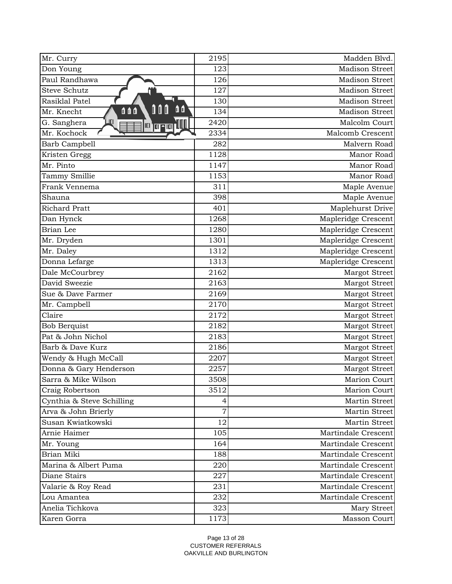| Mr. Curry                         | 2195 | Madden Blvd.          |
|-----------------------------------|------|-----------------------|
| Don Young                         | 123  | <b>Madison Street</b> |
| Paul Randhawa                     | 126  | <b>Madison Street</b> |
| <b>Steve Schutz</b>               | 127  | Madison Street        |
| Rasiklal Patel                    | 130  | Madison Street        |
| û û<br>000<br>0 O O<br>Mr. Knecht | 134  | Madison Street        |
| LЩ<br>G. Sanghera                 | 2420 | Malcolm Court         |
| Mr. Kochock                       | 2334 | Malcomb Crescent      |
| Barb Campbell                     | 282  | Malvern Road          |
| Kristen Gregg                     | 1128 | Manor Road            |
| Mr. Pinto                         | 1147 | Manor Road            |
| Tammy Smillie                     | 1153 | Manor Road            |
| Frank Vennema                     | 311  | Maple Avenue          |
| Shauna                            | 398  | Maple Avenue          |
| <b>Richard Pratt</b>              | 401  | Maplehurst Drive      |
| Dan Hynck                         | 1268 | Mapleridge Crescent   |
| Brian Lee                         | 1280 | Mapleridge Crescent   |
| Mr. Dryden                        | 1301 | Mapleridge Crescent   |
| Mr. Daley                         | 1312 | Mapleridge Crescent   |
| Donna Lefarge                     | 1313 | Mapleridge Crescent   |
| Dale McCourbrey                   | 2162 | Margot Street         |
| David Sweezie                     | 2163 | Margot Street         |
| Sue & Dave Farmer                 | 2169 | Margot Street         |
| Mr. Campbell                      | 2170 | Margot Street         |
| Claire                            | 2172 | Margot Street         |
| <b>Bob Berquist</b>               | 2182 | Margot Street         |
| Pat & John Nichol                 | 2183 | Margot Street         |
| Barb & Dave Kurz                  | 2186 | Margot Street         |
| Wendy & Hugh McCall               | 2207 | Margot Street         |
| Donna & Gary Henderson            | 2257 | Margot Street         |
| Sarra & Mike Wilson               | 3508 | Marion Court          |
| Craig Robertson                   | 3512 | Marion Court          |
| Cynthia & Steve Schilling         | 4    | Martin Street         |
| Arva & John Brierly               | 7    | Martin Street         |
| Susan Kwiatkowski                 | 12   | Martin Street         |
| Arnie Haimer                      | 105  | Martindale Crescent   |
| Mr. Young                         | 164  | Martindale Crescent   |
| Brian Miki                        | 188  | Martindale Crescent   |
| Marina & Albert Puma              | 220  | Martindale Crescent   |
| Diane Stairs                      | 227  | Martindale Crescent   |
| Valarie & Roy Read                | 231  | Martindale Crescent   |
| Lou Amantea                       | 232  | Martindale Crescent   |
| Anelia Tichkova                   | 323  | Mary Street           |
| Karen Gorra                       | 1173 | Masson Court          |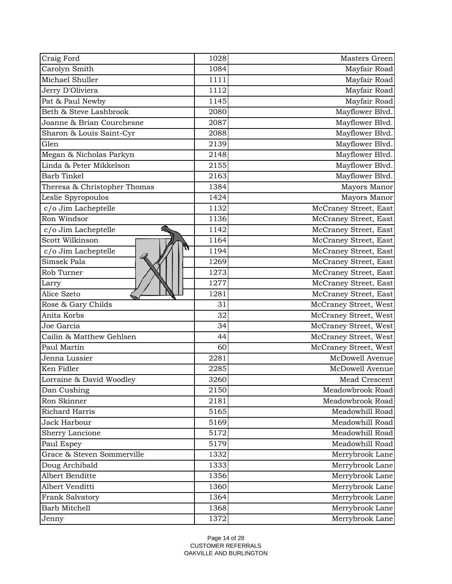| Craig Ford                   | 1028 | Masters Green         |
|------------------------------|------|-----------------------|
| Carolyn Smith                | 1084 | Mayfair Road          |
| Michael Shuller              | 1111 | Mayfair Road          |
| Jerry D'Oliviera             | 1112 | Mayfair Road          |
| Pat & Paul Newby             | 1145 | Mayfair Road          |
| Beth & Steve Lashbrook       | 2080 | Mayflower Blvd.       |
| Joanne & Brian Courchesne    | 2087 | Mayflower Blvd.       |
| Sharon & Louis Saint-Cyr     | 2088 | Mayflower Blvd.       |
| Glen                         | 2139 | Mayflower Blvd.       |
| Megan & Nicholas Parkyn      | 2148 | Mayflower Blvd.       |
| Linda & Peter Mikkelson      | 2155 | Mayflower Blvd.       |
| Barb Tinkel                  | 2163 | Mayflower Blvd.       |
| Theresa & Christopher Thomas | 1384 | Mayors Manor          |
| Leslie Spyropoulos           | 1424 | Mayors Manor          |
| c/o Jim Lacheptelle          | 1132 | McCraney Street, East |
| Ron Windsor                  | 1136 | McCraney Street, East |
| c/o Jim Lacheptelle          | 1142 | McCraney Street, East |
| Scott Wilkinson              | 1164 | McCraney Street, East |
| π<br>c/o Jim Lacheptelle     | 1194 | McCraney Street, East |
| Simsek Pala                  | 1269 | McCraney Street, East |
| Rob Turner                   | 1273 | McCraney Street, East |
| Larry                        | 1277 | McCraney Street, East |
| Alice Szeto                  | 1281 | McCraney Street, East |
| Rose & Gary Childs           | 31   | McCraney Street, West |
| Anita Korbs                  | 32   | McCraney Street, West |
| Joe Garcia                   | 34   | McCraney Street, West |
| Cailin & Matthew Gehlsen     | 44   | McCraney Street, West |
| Paul Martin                  | 60   | McCraney Street, West |
| Jenna Lussier                | 2281 | McDowell Avenue       |
| Ken Fidler                   | 2285 | McDowell Avenue       |
| Lorraine & David Woodley     | 3260 | Mead Crescent         |
| Dan Cushing                  | 2150 | Meadowbrook Road      |
| Ron Skinner                  | 2181 | Meadowbrook Road      |
| Richard Harris               | 5165 | Meadowhill Road       |
| Jack Harbour                 | 5169 | Meadowhill Road       |
| Sherry Lancione              | 5172 | Meadowhill Road       |
| Paul Espey                   | 5179 | Meadowhill Road       |
| Grace & Steven Sommerville   | 1332 | Merrybrook Lane       |
| Doug Archibald               | 1333 | Merrybrook Lane       |
| Albert Benditte              | 1356 | Merrybrook Lane       |
| Albert Venditti              | 1360 | Merrybrook Lane       |
| Frank Salvatory              | 1364 | Merrybrook Lane       |
| Barb Mitchell                | 1368 | Merrybrook Lane       |
| Jenny                        | 1372 | Merrybrook Lane       |
|                              |      |                       |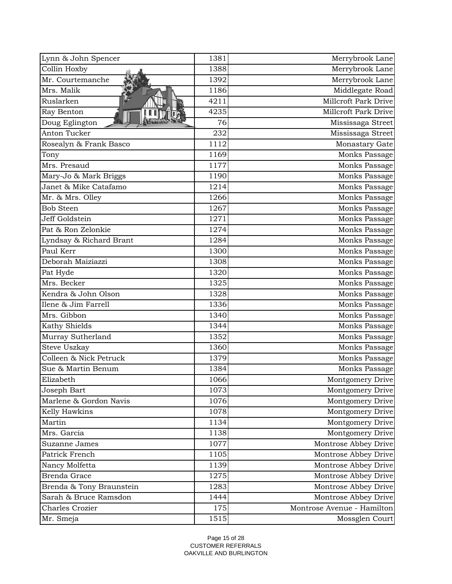| Lynn & John Spencer      | 1381 | Merrybrook Lane            |
|--------------------------|------|----------------------------|
| Collin Hoxby             | 1388 | Merrybrook Lane            |
| Mr. Courtemanche         | 1392 | Merrybrook Lane            |
| Mrs. Malik               | 1186 | Middlegate Road            |
| Ruslarken                | 4211 | Millcroft Park Drive       |
| Ray Benton               | 4235 | Millcroft Park Drive       |
| Doug Eglington           | 76   | Mississaga Street          |
| Anton Tucker             | 232  | Mississaga Street          |
| Rosealyn & Frank Basco   | 1112 | Monastary Gate             |
| Tony                     | 1169 | Monks Passage              |
| Mrs. Presaud             | 1177 | Monks Passage              |
| Mary-Jo & Mark Briggs    | 1190 | Monks Passage              |
| Janet & Mike Catafamo    | 1214 | Monks Passage              |
| Mr. & Mrs. Olley         | 1266 | Monks Passage              |
| <b>Bob Steen</b>         | 1267 | Monks Passage              |
| Jeff Goldstein           | 1271 | Monks Passage              |
| Pat & Ron Zelonkie       | 1274 | Monks Passage              |
| Lyndsay & Richard Brant  | 1284 | Monks Passage              |
| Paul Kerr                | 1300 | Monks Passage              |
| Deborah Maiziazzi        | 1308 | Monks Passage              |
| Pat Hyde                 | 1320 | Monks Passage              |
| Mrs. Becker              | 1325 | Monks Passage              |
| Kendra & John Olson      | 1328 | Monks Passage              |
| Ilene & Jim Farrell      | 1336 | Monks Passage              |
| Mrs. Gibbon              | 1340 | Monks Passage              |
| Kathy Shields            | 1344 | Monks Passage              |
| Murray Sutherland        | 1352 | Monks Passage              |
| Steve Uszkay             | 1360 | Monks Passage              |
| Colleen & Nick Petruck   | 1379 | Monks Passage              |
| Sue & Martin Benum       | 1384 | Monks Passage              |
| Elizabeth                | 1066 | Montgomery Drive           |
| Joseph Bart              | 1073 | Montgomery Drive           |
| Marlene & Gordon Navis   | 1076 | Montgomery Drive           |
| Kelly Hawkins            | 1078 | Montgomery Drive           |
| Martin                   | 1134 | Montgomery Drive           |
| Mrs. Garcia              | 1138 | Montgomery Drive           |
| Suzanne James            | 1077 | Montrose Abbey Drive       |
| Patrick French           | 1105 | Montrose Abbey Drive       |
| Nancy Molfetta           | 1139 | Montrose Abbey Drive       |
| <b>Brenda Grace</b>      | 1275 | Montrose Abbey Drive       |
| Brenda & Tony Braunstein | 1283 | Montrose Abbey Drive       |
| Sarah & Bruce Ramsdon    | 1444 | Montrose Abbey Drive       |
| Charles Crozier          | 175  | Montrose Avenue - Hamilton |
| Mr. Smeja                | 1515 | Mossglen Court             |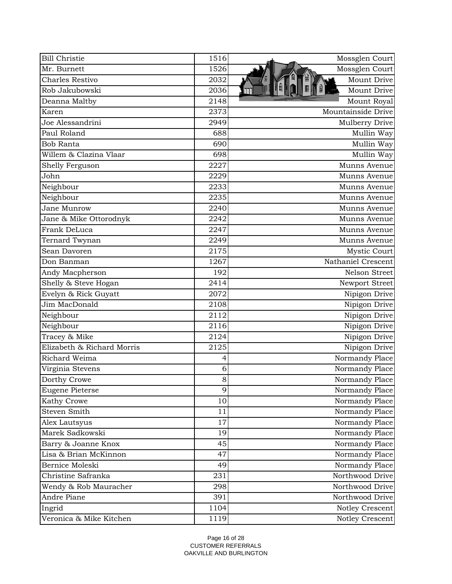| <b>Bill Christie</b>       | 1516 | Mossglen Court     |
|----------------------------|------|--------------------|
| Mr. Burnett                | 1526 | Mossglen Court     |
| <b>Charles Restivo</b>     | 2032 | Mount Drive        |
| Rob Jakubowski             | 2036 | Mount Drive        |
| Deanna Maltby              | 2148 | Mount Royal        |
| Karen                      | 2373 | Mountainside Drive |
| Joe Alessandrini           | 2949 | Mulberry Drive     |
| Paul Roland                | 688  | Mullin Way         |
| <b>Bob Ranta</b>           | 690  | Mullin Way         |
| Willem & Clazina Vlaar     | 698  | Mullin Way         |
| Shelly Ferguson            | 2227 | Munns Avenue       |
| John                       | 2229 | Munns Avenue       |
| Neighbour                  | 2233 | Munns Avenue       |
| Neighbour                  | 2235 | Munns Avenue       |
| Jane Munrow                | 2240 | Munns Avenue       |
| Jane & Mike Ottorodnyk     | 2242 | Munns Avenue       |
| Frank DeLuca               | 2247 | Munns Avenue       |
| Ternard Twynan             | 2249 | Munns Avenue       |
| Sean Davoren               | 2175 | Mystic Court       |
| Don Banman                 | 1267 | Nathaniel Crescent |
| Andy Macpherson            | 192  | Nelson Street      |
| Shelly & Steve Hogan       | 2414 | Newport Street     |
| Evelyn & Rick Guyatt       | 2072 | Nipigon Drive      |
| Jim MacDonald              | 2108 | Nipigon Drive      |
| Neighbour                  | 2112 | Nipigon Drive      |
| Neighbour                  | 2116 | Nipigon Drive      |
| Tracey & Mike              | 2124 | Nipigon Drive      |
| Elizabeth & Richard Morris | 2125 | Nipigon Drive      |
| Richard Weima              | 4    | Normandy Place     |
| Virginia Stevens           | 6    | Normandy Place     |
| Dorthy Crowe               | 8    | Normandy Place     |
| <b>Eugene Pieterse</b>     | 9    | Normandy Place     |
| Kathy Crowe                | 10   | Normandy Place     |
| <b>Steven Smith</b>        | 11   | Normandy Place     |
| Alex Lautsyus              | 17   | Normandy Place     |
| Marek Sadkowski            | 19   | Normandy Place     |
| Barry & Joanne Knox        | 45   | Normandy Place     |
| Lisa & Brian McKinnon      | 47   | Normandy Place     |
| Bernice Moleski            | 49   | Normandy Place     |
| Christine Safranka         | 231  | Northwood Drive    |
| Wendy & Rob Mauracher      | 298  | Northwood Drive    |
| Andre Piane                | 391  | Northwood Drive    |
| Ingrid                     | 1104 | Notley Crescent    |
| Veronica & Mike Kitchen    | 1119 | Notley Crescent    |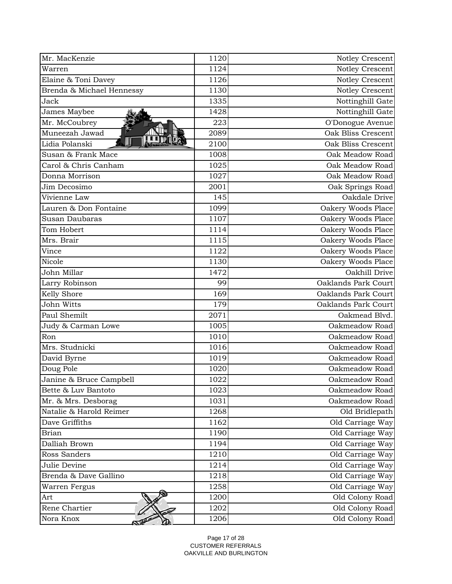| Mr. MacKenzie             | 1120 | Notley Crescent     |
|---------------------------|------|---------------------|
| Warren                    | 1124 | Notley Crescent     |
| Elaine & Toni Davey       | 1126 | Notley Crescent     |
| Brenda & Michael Hennessy | 1130 | Notley Crescent     |
| Jack                      | 1335 | Nottinghill Gate    |
| James Maybee              | 1428 | Nottinghill Gate    |
| Mr. McCoubrey             | 223  | O'Donogue Avenue    |
| Muneezah Jawad            | 2089 | Oak Bliss Crescent  |
| Lidia Polanski            | 2100 | Oak Bliss Crescent  |
| Susan & Frank Mace        | 1008 | Oak Meadow Road     |
| Carol & Chris Canham      | 1025 | Oak Meadow Road     |
| Donna Morrison            | 1027 | Oak Meadow Road     |
| Jim Decosimo              | 2001 | Oak Springs Road    |
| Vivienne Law              | 145  | Oakdale Drive       |
| Lauren & Don Fontaine     | 1099 | Oakery Woods Place  |
| Susan Daubaras            | 1107 | Oakery Woods Place  |
| Tom Hobert                | 1114 | Oakery Woods Place  |
| Mrs. Brair                | 1115 | Oakery Woods Place  |
| Vince                     | 1122 | Oakery Woods Place  |
| Nicole                    | 1130 | Oakery Woods Place  |
| John Millar               | 1472 | Oakhill Drive       |
| Larry Robinson            | 99   | Oaklands Park Court |
| Kelly Shore               | 169  | Oaklands Park Court |
| John Witts                | 179  | Oaklands Park Court |
| Paul Shemilt              | 2071 | Oakmead Blvd.       |
| Judy & Carman Lowe        | 1005 | Oakmeadow Road      |
| Ron                       | 1010 | Oakmeadow Road      |
| Mrs. Studnicki            | 1016 | Oakmeadow Road      |
| David Byrne               | 1019 | Oakmeadow Road      |
| Doug Pole                 | 1020 | Oakmeadow Road      |
| Janine & Bruce Campbell   | 1022 | Oakmeadow Road      |
| Bette & Luv Bantoto       | 1023 | Oakmeadow Road      |
| Mr. & Mrs. Desborag       | 1031 | Oakmeadow Road      |
| Natalie & Harold Reimer   | 1268 | Old Bridlepath      |
| Dave Griffiths            | 1162 | Old Carriage Way    |
| <b>Brian</b>              | 1190 | Old Carriage Way    |
| Dalliah Brown             | 1194 | Old Carriage Way    |
| Ross Sanders              | 1210 | Old Carriage Way    |
| Julie Devine              | 1214 | Old Carriage Way    |
| Brenda & Dave Gallino     | 1218 | Old Carriage Way    |
| Warren Fergus             | 1258 | Old Carriage Way    |
| Art                       | 1200 | Old Colony Road     |
| Rene Chartier             | 1202 | Old Colony Road     |
| Nora Knox                 | 1206 | Old Colony Road     |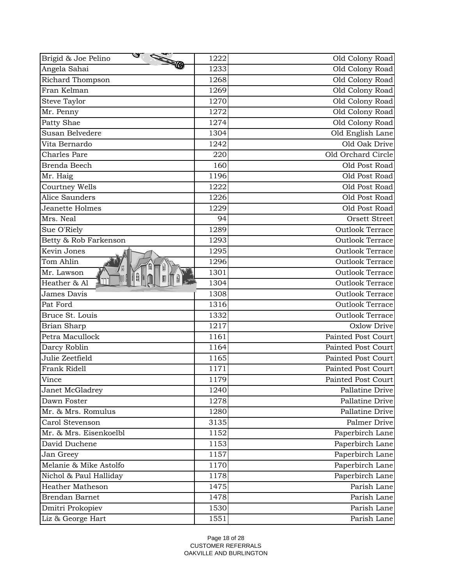| <b>STATE</b><br>Brigid & Joe Pelino | 1222       | Old Colony Road           |
|-------------------------------------|------------|---------------------------|
| Angela Sahai                        | 1233       | Old Colony Road           |
| Richard Thompson                    | 1268       | Old Colony Road           |
| Fran Kelman                         | 1269       | Old Colony Road           |
| Steve Taylor                        | 1270       | Old Colony Road           |
| Mr. Penny                           | 1272       | Old Colony Road           |
| Patty Shae                          | 1274       | Old Colony Road           |
| Susan Belvedere                     | 1304       | Old English Lane          |
| Vita Bernardo                       | 1242       | Old Oak Drive             |
| <b>Charles Pare</b>                 | 220        | Old Orchard Circle        |
| Brenda Beech                        | <b>160</b> | Old Post Road             |
| Mr. Haig                            | 1196       | Old Post Road             |
| Courtney Wells                      | 1222       | Old Post Road             |
| Alice Saunders                      | 1226       | Old Post Road             |
| Jeanette Holmes                     | 1229       | Old Post Road             |
| Mrs. Neal                           | 94         | Orsett Street             |
| Sue O'Riely                         | 1289       | <b>Outlook Terrace</b>    |
| Betty & Rob Farkenson               | 1293       | <b>Outlook Terrace</b>    |
| Kevin Jones                         | 1295       | <b>Outlook Terrace</b>    |
| Tom Ahlin                           | 1296       | <b>Outlook Terrace</b>    |
| Mr. Lawson                          | 1301       | <b>Outlook Terrace</b>    |
| Ĥ<br>Heather & Al                   | 1304       | <b>Outlook Terrace</b>    |
| <b>James Davis</b>                  | 1308       | <b>Outlook Terrace</b>    |
| Pat Ford                            | 1316       | <b>Outlook Terrace</b>    |
| Bruce St. Louis                     | 1332       | <b>Outlook Terrace</b>    |
| Brian Sharp                         | 1217       | Oxlow Drive               |
| Petra Macullock                     | 1161       | <b>Painted Post Court</b> |
| Darcy Roblin                        | 1164       | Painted Post Court        |
| Julie Zeetfield                     | 1165       | <b>Painted Post Court</b> |
| Frank Ridell                        | 1171       | Painted Post Court        |
| Vince                               | 1179       | Painted Post Court        |
| Janet McGladrey                     | 1240       | Pallatine Drive           |
| Dawn Foster                         | 1278       | Pallatine Drive           |
| Mr. & Mrs. Romulus                  | 1280       | Pallatine Drive           |
| Carol Stevenson                     | 3135       | Palmer Drive              |
| Mr. & Mrs. Eisenkoelbl              | 1152       | Paperbirch Lane           |
| David Duchene                       | 1153       | Paperbirch Lane           |
| Jan Greey                           | 1157       | Paperbirch Lane           |
| Melanie & Mike Astolfo              | 1170       | Paperbirch Lane           |
| Nichol & Paul Halliday              | 1178       | Paperbirch Lane           |
| <b>Heather Matheson</b>             | 1475       | Parish Lane               |
| <b>Brendan Barnet</b>               | 1478       | Parish Lane               |
| Dmitri Prokopiev                    | 1530       | Parish Lane               |
| Liz & George Hart                   | 1551       | Parish Lane               |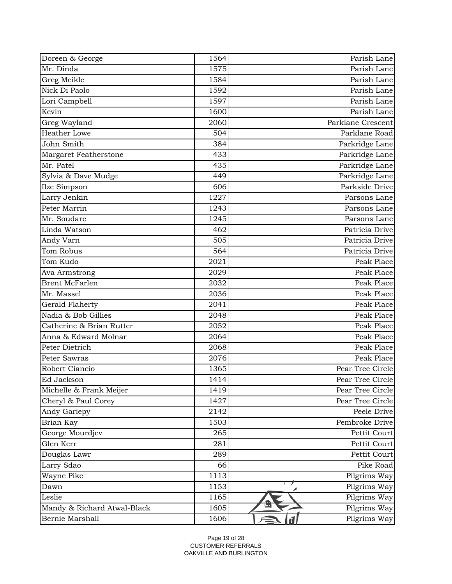| Doreen & George             | 1564 | Parish Lane       |
|-----------------------------|------|-------------------|
| Mr. Dinda                   | 1575 | Parish Lane       |
| Greg Meikle                 | 1584 | Parish Lane       |
| Nick Di Paolo               | 1592 | Parish Lane       |
| Lori Campbell               | 1597 | Parish Lane       |
| Kevin                       | 1600 | Parish Lane       |
| Greg Wayland                | 2060 | Parklane Crescent |
| <b>Heather Lowe</b>         | 504  | Parklane Road     |
| John Smith                  | 384  | Parkridge Lane    |
| Margaret Featherstone       | 433  | Parkridge Lane    |
| Mr. Patel                   | 435  | Parkridge Lane    |
| Sylvia & Dave Mudge         | 449  | Parkridge Lane    |
| Ilze Simpson                | 606  | Parkside Drive    |
| Larry Jenkin                | 1227 | Parsons Lane      |
| Peter Marrin                | 1243 | Parsons Lane      |
| Mr. Soudare                 | 1245 | Parsons Lane      |
| Linda Watson                | 462  | Patricia Drive    |
| Andy Varn                   | 505  | Patricia Drive    |
| Tom Robus                   | 564  | Patricia Drive    |
| Tom Kudo                    | 2021 | Peak Place        |
| Ava Armstrong               | 2029 | Peak Place        |
| <b>Brent McFarlen</b>       | 2032 | Peak Place        |
| Mr. Massel                  | 2036 | Peak Place        |
| Gerald Flaherty             | 2041 | Peak Place        |
| Nadia & Bob Gillies         | 2048 | Peak Place        |
| Catherine & Brian Rutter    | 2052 | Peak Place        |
| Anna & Edward Molnar        | 2064 | Peak Place        |
| Peter Dietrich              | 2068 | Peak Place        |
| Peter Sawras                | 2076 | Peak Place        |
| Robert Ciancio              | 1365 | Pear Tree Circle  |
| Ed Jackson                  | 1414 | Pear Tree Circle  |
| Michelle & Frank Meijer     | 1419 | Pear Tree Circle  |
| Cheryl & Paul Corey         | 1427 | Pear Tree Circle  |
| Andy Gariepy                | 2142 | Peele Drive       |
| Brian Kay                   | 1503 | Pembroke Drive    |
| George Mourdjev             | 265  | Pettit Court      |
| Glen Kerr                   | 281  | Pettit Court      |
| Douglas Lawr                | 289  | Pettit Court      |
| Larry Sdao                  | 66   | Pike Road         |
| Wayne Pike                  | 1113 | Pilgrims Way      |
| Dawn                        | 1153 | Pilgrims Way      |
| Leslie                      | 1165 | Pilgrims Way      |
| Mandy & Richard Atwal-Black | 1605 | Pilgrims Way      |
| Bernie Marshall             | 1606 | Pilgrims Way      |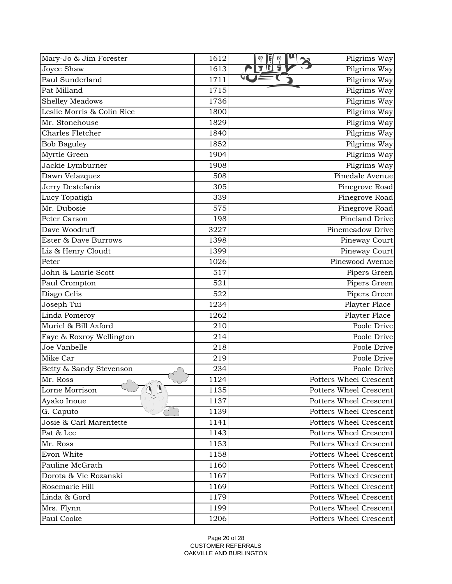| Mary-Jo & Jim Forester           | 1612 | u<br>Pilgrims Way<br>ę<br>Ę<br>Ģ |
|----------------------------------|------|----------------------------------|
| Joyce Shaw                       | 1613 | 字旧<br>Pilgrims Way               |
| Paul Sunderland                  | 1711 | Pilgrims Way                     |
| Pat Milland                      | 1715 | Pilgrims Way                     |
| <b>Shelley Meadows</b>           | 1736 | Pilgrims Way                     |
| Leslie Morris & Colin Rice       | 1800 | Pilgrims Way                     |
| Mr. Stonehouse                   | 1829 | Pilgrims Way                     |
| <b>Charles Fletcher</b>          | 1840 | Pilgrims Way                     |
| <b>Bob Baguley</b>               | 1852 | Pilgrims Way                     |
| Myrtle Green                     | 1904 | Pilgrims Way                     |
| Jackie Lymburner                 | 1908 | Pilgrims Way                     |
| Dawn Velazquez                   | 508  | Pinedale Avenue                  |
| Jerry Destefanis                 | 305  | Pinegrove Road                   |
| Lucy Topatigh                    | 339  | Pinegrove Road                   |
| Mr. Dubosie                      | 575  | Pinegrove Road                   |
| Peter Carson                     | 198  | Pineland Drive                   |
| Dave Woodruff                    | 3227 | Pinemeadow Drive                 |
| Ester & Dave Burrows             | 1398 | Pineway Court                    |
| Liz & Henry Cloudt               | 1399 | Pineway Court                    |
| Peter                            | 1026 | Pinewood Avenue                  |
| John & Laurie Scott              | 517  | Pipers Green                     |
| Paul Crompton                    | 521  | Pipers Green                     |
| Diago Celis                      | 522  | Pipers Green                     |
| Joseph Tui                       | 1234 | Playter Place                    |
| Linda Pomeroy                    | 1262 | Playter Place                    |
| Muriel & Bill Axford             | 210  | Poole Drive                      |
| Faye & Roxroy Wellington         | 214  | Poole Drive                      |
| Joe Vanbelle                     | 218  | Poole Drive                      |
| Mike Car                         | 219  | Poole Drive                      |
| Betty & Sandy Stevenson          | 234  | Poole Drive                      |
| Mr. Ross<br>$\sim$ $\sim$        | 1124 | Potters Wheel Crescent           |
| $\mathbf{Q}_n$<br>Lorne Morrison | 1135 | Potters Wheel Crescent           |
| Ayako Inoue                      | 1137 | <b>Potters Wheel Crescent</b>    |
| G. Caputo                        | 1139 | <b>Potters Wheel Crescent</b>    |
| Josie & Carl Marentette          | 1141 | <b>Potters Wheel Crescent</b>    |
| Pat & Lee                        | 1143 | Potters Wheel Crescent           |
| Mr. Ross                         | 1153 | Potters Wheel Crescent           |
| Evon White                       | 1158 | <b>Potters Wheel Crescent</b>    |
| Pauline McGrath                  | 1160 | Potters Wheel Crescent           |
| Dorota & Vic Rozanski            | 1167 | <b>Potters Wheel Crescent</b>    |
| Rosemarie Hill                   | 1169 | <b>Potters Wheel Crescent</b>    |
| Linda & Gord                     | 1179 | Potters Wheel Crescent           |
| Mrs. Flynn                       | 1199 | Potters Wheel Crescent           |
| Paul Cooke                       | 1206 | Potters Wheel Crescent           |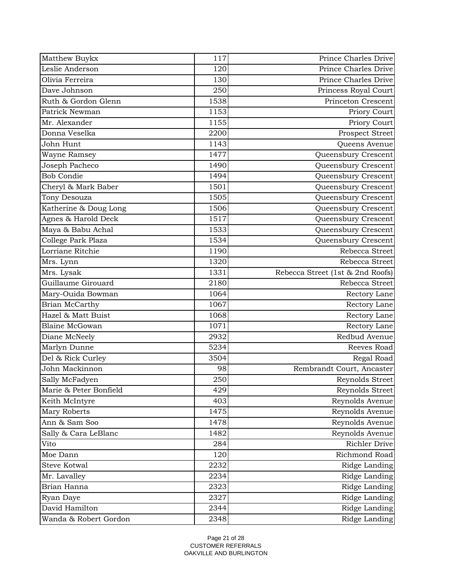| Matthew Buykx          | 117  | Prince Charles Drive             |
|------------------------|------|----------------------------------|
| Leslie Anderson        | 120  | Prince Charles Drive             |
| Olivia Ferreira        | 130  | Prince Charles Drive             |
| Dave Johnson           | 250  | Princess Royal Court             |
| Ruth & Gordon Glenn    | 1538 | Princeton Crescent               |
| Patrick Newman         | 1153 | Priory Court                     |
| Mr. Alexander          | 1155 | Priory Court                     |
| Donna Veselka          | 2200 | Prospect Street                  |
| John Hunt              | 1143 | Queens Avenue                    |
| <b>Wayne Ramsey</b>    | 1477 | Queensbury Crescent              |
| Joseph Pacheco         | 1490 | Queensbury Crescent              |
| <b>Bob Condie</b>      | 1494 | Queensbury Crescent              |
| Cheryl & Mark Baber    | 1501 | Queensbury Crescent              |
| Tony Desouza           | 1505 | Queensbury Crescent              |
| Katherine & Doug Long  | 1506 | Queensbury Crescent              |
| Agnes & Harold Deck    | 1517 | Queensbury Crescent              |
| Maya & Babu Achal      | 1533 | Queensbury Crescent              |
| College Park Plaza     | 1534 | Queensbury Crescent              |
| Lorriane Ritchie       | 1190 | Rebecca Street                   |
| Mrs. Lynn              | 1320 | Rebecca Street                   |
| Mrs. Lysak             | 1331 | Rebecca Street (1st & 2nd Roofs) |
| Guillaume Girouard     | 2180 | Rebecca Street                   |
| Mary-Ouida Bowman      | 1064 | Rectory Lane                     |
| Brian McCarthy         | 1067 | Rectory Lane                     |
| Hazel & Matt Buist     | 1068 | Rectory Lane                     |
| <b>Blaine McGowan</b>  | 1071 | Rectory Lane                     |
| Diane McNeely          | 2932 | Redbud Avenue                    |
| Marlyn Dunne           | 5234 | Reeves Road                      |
| Del & Rick Curley      | 3504 | Regal Road                       |
| John Mackinnon         | 98   | Rembrandt Court, Ancaster        |
| Sally McFadyen         | 250  | Reynolds Street                  |
| Marie & Peter Bonfield | 429  | Reynolds Street                  |
| Keith McIntyre         | 403  | Reynolds Avenue                  |
| Mary Roberts           | 1475 | Reynolds Avenue                  |
| Ann & Sam Soo          | 1478 | Reynolds Avenue                  |
| Sally & Cara LeBlanc   | 1482 | Reynolds Avenue                  |
| Vito                   | 284  | <b>Richler Drive</b>             |
| Moe Dann               | 120  | Richmond Road                    |
| <b>Steve Kotwal</b>    | 2232 | Ridge Landing                    |
| Mr. Lavalley           | 2234 | Ridge Landing                    |
| Brian Hanna            | 2323 | Ridge Landing                    |
| Ryan Daye              | 2327 | Ridge Landing                    |
| David Hamilton         | 2344 | Ridge Landing                    |
| Wanda & Robert Gordon  | 2348 | Ridge Landing                    |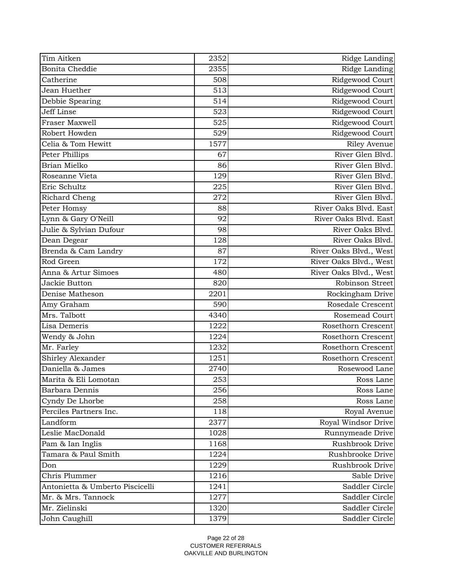| Tim Aitken                      | 2352 | Ridge Landing          |
|---------------------------------|------|------------------------|
| <b>Bonita Cheddie</b>           | 2355 | Ridge Landing          |
| Catherine                       | 508  | Ridgewood Court        |
| Jean Huether                    | 513  | Ridgewood Court        |
| Debbie Spearing                 | 514  | Ridgewood Court        |
| Jeff Linse                      | 523  | Ridgewood Court        |
| Fraser Maxwell                  | 525  | Ridgewood Court        |
| Robert Howden                   | 529  | Ridgewood Court        |
| Celia & Tom Hewitt              | 1577 | <b>Riley Avenue</b>    |
| Peter Phillips                  | 67   | River Glen Blvd.       |
| Brian Mielko                    | 86   | River Glen Blvd.       |
| Roseanne Vieta                  | 129  | River Glen Blvd.       |
| Eric Schultz                    | 225  | River Glen Blvd.       |
| Richard Cheng                   | 272  | River Glen Blvd.       |
| Peter Homsy                     | 88   | River Oaks Blyd. East  |
| Lynn & Gary O'Neill             | 92   | River Oaks Blvd. East  |
| Julie & Sylvian Dufour          | 98   | River Oaks Blvd.       |
| Dean Degear                     | 128  | River Oaks Blvd.       |
| Brenda & Cam Landry             | 87   | River Oaks Blvd., West |
| Rod Green                       | 172  | River Oaks Blvd., West |
| Anna & Artur Simoes             | 480  | River Oaks Blvd., West |
| Jackie Button                   | 820  | Robinson Street        |
| Denise Matheson                 | 2201 | Rockingham Drive       |
| Amy Graham                      | 590  | Rosedale Crescent      |
| Mrs. Talbott                    | 4340 | Rosemead Court         |
| Lisa Demeris                    | 1222 | Rosethorn Crescent     |
| Wendy & John                    | 1224 | Rosethorn Crescent     |
| Mr. Farley                      | 1232 | Rosethorn Crescent     |
| Shirley Alexander               | 1251 | Rosethorn Crescent     |
| Daniella & James                | 2740 | Rosewood Lane          |
| Marita & Eli Lomotan            | 253  | Ross Lane              |
| Barbara Dennis                  | 256  | Ross Lane              |
| Cyndy De Lhorbe                 | 258  | Ross Lane              |
| Perciles Partners Inc.          | 118  | Royal Avenue           |
| Landform                        | 2377 | Royal Windsor Drive    |
| Leslie MacDonald                | 1028 | Runnymeade Drive       |
| Pam & Ian Inglis                | 1168 | Rushbrook Drive        |
| Tamara & Paul Smith             | 1224 | Rushbrooke Drive       |
| Don                             | 1229 | Rushbrook Drive        |
| Chris Plummer                   | 1216 | Sable Drive            |
| Antonietta & Umberto Piscicelli | 1241 | Saddler Circle         |
| Mr. & Mrs. Tannock              | 1277 | Saddler Circle         |
| Mr. Zielinski                   | 1320 | Saddler Circle         |
| John Caughill                   | 1379 | Saddler Circle         |
|                                 |      |                        |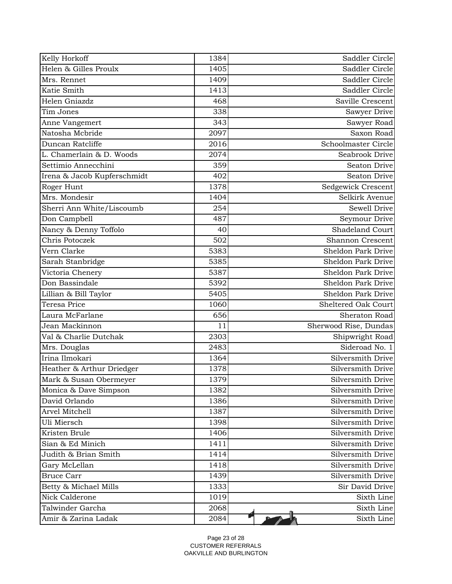| Kelly Horkoff               | 1384 | Saddler Circle          |
|-----------------------------|------|-------------------------|
| Helen & Gilles Proulx       | 1405 | Saddler Circle          |
| Mrs. Rennet                 | 1409 | Saddler Circle          |
| Katie Smith                 | 1413 | Saddler Circle          |
| Helen Gniazdz               | 468  | Saville Crescent        |
| Tim Jones                   | 338  | Sawyer Drive            |
| Anne Vangemert              | 343  | Sawyer Road             |
| Natosha Mcbride             | 2097 | Saxon Road              |
| Duncan Ratcliffe            | 2016 | Schoolmaster Circle     |
| L. Chamerlain & D. Woods    | 2074 | Seabrook Drive          |
| Settimio Annecchini         | 359  | Seaton Drive            |
| Irena & Jacob Kupferschmidt | 402  | Seaton Drive            |
| Roger Hunt                  | 1378 | Sedgewick Crescent      |
| Mrs. Mondesir               | 1404 | Selkirk Avenue          |
| Sherri Ann White/Liscoumb   | 254  | Sewell Drive            |
| Don Campbell                | 487  | Seymour Drive           |
| Nancy & Denny Toffolo       | 40   | Shadeland Court         |
| Chris Potoczek              | 502  | <b>Shannon Crescent</b> |
| Vern Clarke                 | 5383 | Sheldon Park Drive      |
| Sarah Stanbridge            | 5385 | Sheldon Park Drive      |
| Victoria Chenery            | 5387 | Sheldon Park Drive      |
| Don Bassindale              | 5392 | Sheldon Park Drive      |
| Lillian & Bill Taylor       | 5405 | Sheldon Park Drive      |
| Teresa Price                | 1060 | Sheltered Oak Court     |
| Laura McFarlane             | 656  | Sheraton Road           |
| Jean Mackinnon              | 11   | Sherwood Rise, Dundas   |
| Val & Charlie Dutchak       | 2303 | Shipwright Road         |
| Mrs. Douglas                | 2483 | Sideroad No. 1          |
| Irina Ilmokari              | 1364 | Silversmith Drive       |
| Heather & Arthur Driedger   | 1378 | Silversmith Drive       |
| Mark & Susan Obermeyer      | 1379 | Silversmith Drive       |
| Monica & Dave Simpson       | 1382 | Silversmith Drive       |
| David Orlando               | 1386 | Silversmith Drive       |
| Arvel Mitchell              | 1387 | Silversmith Drive       |
| Uli Miersch                 | 1398 | Silversmith Drive       |
| Kristen Brule               | 1406 | Silversmith Drive       |
| Sian & Ed Minich            | 1411 | Silversmith Drive       |
| Judith & Brian Smith        | 1414 | Silversmith Drive       |
| Gary McLellan               | 1418 | Silversmith Drive       |
| <b>Bruce Carr</b>           | 1439 | Silversmith Drive       |
| Betty & Michael Mills       | 1333 | Sir David Drive         |
| Nick Calderone              | 1019 | Sixth Line              |
| Talwinder Garcha            | 2068 | Sixth Line              |
| Amir & Zarina Ladak         | 2084 | Sixth Line              |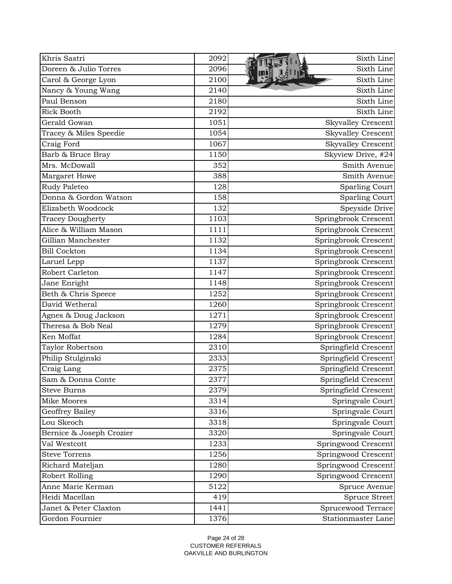| Khris Sastri             | 2092 | Sixth Line                |
|--------------------------|------|---------------------------|
| Doreen & Julio Torres    | 2096 | Sixth Line                |
| Carol & George Lyon      | 2100 | Sixth Line                |
| Nancy & Young Wang       | 2140 | Sixth Line                |
| Paul Benson              | 2180 | Sixth Line                |
| <b>Rick Booth</b>        | 2192 | Sixth Line                |
| Gerald Gowan             | 1051 | <b>Skyvalley Crescent</b> |
| Tracey & Miles Speedie   | 1054 | <b>Skyvalley Crescent</b> |
| Craig Ford               | 1067 | <b>Skyvalley Crescent</b> |
| Barb & Bruce Bray        | 1150 | Skyview Drive, #24        |
| Mrs. McDowall            | 352  | Smith Avenue              |
| Margaret Howe            | 388  | Smith Avenue              |
| Rudy Paleteo             | 128  | <b>Sparling Court</b>     |
| Donna & Gordon Watson    | 158  | <b>Sparling Court</b>     |
| Elizabeth Woodcock       | 132  | Speyside Drive            |
| <b>Tracey Dougherty</b>  | 1103 | Springbrook Crescent      |
| Alice & William Mason    | 1111 | Springbrook Crescent      |
| Gillian Manchester       | 1132 | Springbrook Crescent      |
| <b>Bill Cockton</b>      | 1134 | Springbrook Crescent      |
| Laruel Lepp              | 1137 | Springbrook Crescent      |
| Robert Carleton          | 1147 | Springbrook Crescent      |
| Jane Enright             | 1148 | Springbrook Crescent      |
| Beth & Chris Speece      | 1252 | Springbrook Crescent      |
| David Wetheral           | 1260 | Springbrook Crescent      |
| Agnes & Doug Jackson     | 1271 | Springbrook Crescent      |
| Theresa & Bob Neal       | 1279 | Springbrook Crescent      |
| Ken Moffat               | 1284 | Springbrook Crescent      |
| Taylor Robertson         | 2310 | Springfield Crescent      |
| Philip Stulginski        | 2333 | Springfield Crescent      |
| Craig Lang               | 2375 | Springfield Crescent      |
| Sam & Donna Conte        | 2377 | Springfield Crescent      |
| <b>Steve Burns</b>       | 2379 | Springfield Crescent      |
| Mike Moores              | 3314 | Springvale Court          |
| Geoffrey Bailey          | 3316 | Springvale Court          |
| Lou Skeoch               | 3318 | Springvale Court          |
| Bernice & Joseph Crozier | 3320 | Springvale Court          |
| Val Westcott             | 1233 | Springwood Crescent       |
| Steve Torrens            | 1256 | Springwood Crescent       |
| Richard Mateljan         | 1280 | Springwood Crescent       |
| Robert Rolling           | 1290 | Springwood Crescent       |
| Anne Marie Kerman        | 5122 | Spruce Avenue             |
| Heidi Macellan           | 419  | Spruce Street             |
| Janet & Peter Claxton    | 1441 | Sprucewood Terrace        |
| Gordon Fournier          | 1376 | Stationmaster Lane        |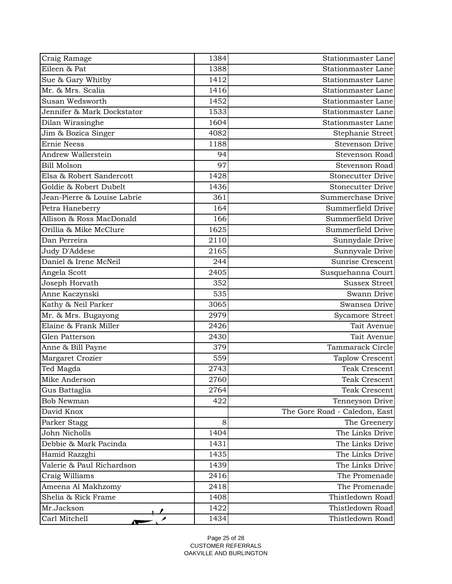| Craig Ramage                | 1384 | <b>Stationmaster Lane</b>     |
|-----------------------------|------|-------------------------------|
| Eileen & Pat                | 1388 | Stationmaster Lane            |
| Sue & Gary Whitby           | 1412 | <b>Stationmaster Lane</b>     |
| Mr. & Mrs. Scalia           | 1416 | Stationmaster Lane            |
| Susan Wedsworth             | 1452 | Stationmaster Lane            |
| Jennifer & Mark Dockstator  | 1533 | Stationmaster Lane            |
| Dilan Wirasinghe            | 1604 | Stationmaster Lane            |
| Jim & Bozica Singer         | 4082 | Stephanie Street              |
| <b>Ernie Neess</b>          | 1188 | <b>Stevenson Drive</b>        |
| Andrew Wallerstein          | 94   | Stevenson Road                |
| <b>Bill Molson</b>          | 97   | Stevenson Road                |
| Elsa & Robert Sandercott    | 1428 | <b>Stonecutter Drive</b>      |
| Goldie & Robert Dubelt      | 1436 | <b>Stonecutter Drive</b>      |
| Jean-Pierre & Louise Labrie | 361  | Summerchase Drive             |
| Petra Haneberry             | 164  | Summerfield Drive             |
| Allison & Ross MacDonald    | 166  | Summerfield Drive             |
| Orillia & Mike McClure      | 1625 | Summerfield Drive             |
| Dan Perreira                | 2110 | Sunnydale Drive               |
| Judy D'Addese               | 2165 | Sunnyvale Drive               |
| Daniel & Irene McNeil       | 244  | Sunrise Crescent              |
| Angela Scott                | 2405 | Susquehanna Court             |
| Joseph Horvath              | 352  | <b>Sussex Street</b>          |
| Anne Kaczynski              | 535  | Swann Drive                   |
| Kathy & Neil Parker         | 3065 | Swansea Drive                 |
| Mr. & Mrs. Bugayong         | 2979 | <b>Sycamore Street</b>        |
| Elaine & Frank Miller       | 2426 | Tait Avenue                   |
| Glen Patterson              | 2430 | Tait Avenue                   |
| Anne & Bill Payne           | 379  | Tammarack Circle              |
| Margaret Crozier            | 559  | <b>Taplow Crescent</b>        |
| Ted Magda                   | 2743 | <b>Teak Crescent</b>          |
| Mike Anderson               | 2760 | Teak Crescent                 |
| Gus Battaglia               | 2764 | Teak Crescent                 |
| <b>Bob Newman</b>           | 422  | Tenneyson Drive               |
| David Knox                  |      | The Gore Road - Caledon, East |
| Parker Stagg                | 8    | The Greenery                  |
| John Nicholls               | 1404 | The Links Drive               |
| Debbie & Mark Pacinda       | 1431 | The Links Drive               |
| Hamid Razzghi               | 1435 | The Links Drive               |
| Valerie & Paul Richardson   | 1439 | The Links Drive               |
| Craig Williams              | 2416 | The Promenade                 |
| Ameena Al Makhzomy          | 2418 | The Promenade                 |
| Shelia & Rick Frame         | 1408 | Thistledown Road              |
| Mr.Jackson                  | 1422 | Thistledown Road              |
| Carl Mitchell               | 1434 | Thistledown Road              |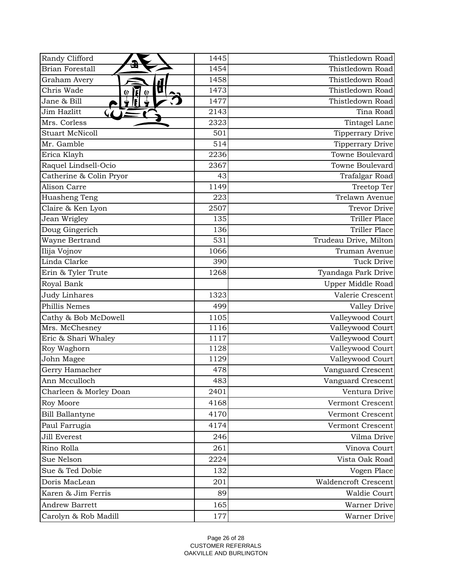| Randy Clifford                         | 1445 | Thistledown Road            |
|----------------------------------------|------|-----------------------------|
| <b>Brian Forestall</b>                 | 1454 | Thistledown Road            |
| Graham Avery                           | 1458 | Thistledown Road            |
| Chris Wade<br>ផ<br>$\Theta$<br>$\odot$ | 1473 | Thistledown Road            |
| Jane & Bill                            | 1477 | Thistledown Road            |
| Jim Hazlitt                            | 2143 | Tina Road                   |
| Mrs. Corless                           | 2323 | Tintagel Lane               |
| <b>Stuart McNicoll</b>                 | 501  | <b>Tipperrary Drive</b>     |
| Mr. Gamble                             | 514  | Tipperrary Drive            |
| Erica Klayh                            | 2236 | Towne Boulevard             |
| Raquel Lindsell-Ocio                   | 2367 | Towne Boulevard             |
| Catherine & Colin Pryor                | 43   | Trafalgar Road              |
| <b>Alison Carre</b>                    | 1149 | Treetop Ter                 |
| Huasheng Teng                          | 223  | Trelawn Avenue              |
| Claire & Ken Lyon                      | 2507 | Trevor Drive                |
| Jean Wrigley                           | 135  | Triller Place               |
| Doug Gingerich                         | 136  | Triller Place               |
| Wayne Bertrand                         | 531  | Trudeau Drive, Milton       |
| Ilija Vojnov                           | 1066 | Truman Avenue               |
| Linda Clarke                           | 390  | <b>Tuck Drive</b>           |
| Erin & Tyler Trute                     | 1268 | Tyandaga Park Drive         |
| Royal Bank                             |      | Upper Middle Road           |
| <b>Judy Linhares</b>                   | 1323 | Valerie Crescent            |
| Phillis Nemes                          | 499  | Valley Drive                |
| Cathy & Bob McDowell                   | 1105 | Valleywood Court            |
| Mrs. McChesney                         | 1116 | Valleywood Court            |
| Eric & Shari Whaley                    | 1117 | Valleywood Court            |
| Roy Waghorn                            | 1128 | Valleywood Court            |
| John Magee                             | 1129 | Valleywood Court            |
| Gerry Hamacher                         | 478  | Vanguard Crescent           |
| Ann Mcculloch                          | 483  | Vanguard Crescent           |
| Charleen & Morley Doan                 | 2401 | Ventura Drive               |
| Roy Moore                              | 4168 | Vermont Crescent            |
| <b>Bill Ballantyne</b>                 | 4170 | Vermont Crescent            |
| Paul Farrugia                          | 4174 | Vermont Crescent            |
| Jill Everest                           | 246  | Vilma Drive                 |
| Rino Rolla                             | 261  | Vinova Court                |
| Sue Nelson                             | 2224 | Vista Oak Road              |
| Sue & Ted Dobie                        | 132  | Vogen Place                 |
| Doris MacLean                          | 201  | <b>Waldencroft Crescent</b> |
| Karen & Jim Ferris                     | 89   | Waldie Court                |
| <b>Andrew Barrett</b>                  | 165  | Warner Drive                |
| Carolyn & Rob Madill                   | 177  | Warner Drive                |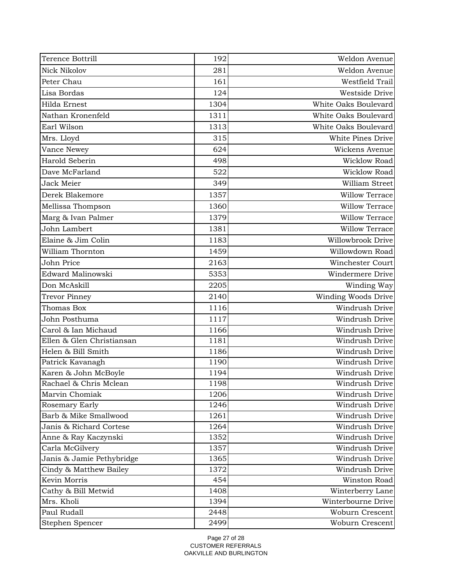| Terence Bottrill          | 192  | Weldon Avenue         |
|---------------------------|------|-----------------------|
| <b>Nick Nikolov</b>       | 281  | Weldon Avenue         |
| Peter Chau                | 161  | Westfield Trail       |
| Lisa Bordas               | 124  | Westside Drive        |
| Hilda Ernest              | 1304 | White Oaks Boulevard  |
| Nathan Kronenfeld         | 1311 | White Oaks Boulevard  |
| Earl Wilson               | 1313 | White Oaks Boulevard  |
| Mrs. Lloyd                | 315  | White Pines Drive     |
| Vance Newey               | 624  | Wickens Avenue        |
| Harold Seberin            | 498  | Wicklow Road          |
| Dave McFarland            | 522  | Wicklow Road          |
| Jack Meier                | 349  | William Street        |
| Derek Blakemore           | 1357 | <b>Willow Terrace</b> |
| Mellissa Thompson         | 1360 | <b>Willow Terrace</b> |
| Marg & Ivan Palmer        | 1379 | <b>Willow Terrace</b> |
| John Lambert              | 1381 | <b>Willow Terrace</b> |
| Elaine & Jim Colin        | 1183 | Willowbrook Drive     |
| William Thornton          | 1459 | Willowdown Road       |
| John Price                | 2163 | Winchester Court      |
| Edward Malinowski         | 5353 | Windermere Drive      |
| Don McAskill              | 2205 | Winding Way           |
| <b>Trevor Pinney</b>      | 2140 | Winding Woods Drive   |
| Thomas Box                | 1116 | Windrush Drive        |
| John Posthuma             | 1117 | Windrush Drive        |
| Carol & Ian Michaud       | 1166 | Windrush Drive        |
| Ellen & Glen Christiansan | 1181 | Windrush Drive        |
| Helen & Bill Smith        | 1186 | Windrush Drive        |
| Patrick Kavanagh          | 1190 | Windrush Drive        |
| Karen & John McBoyle      | 1194 | Windrush Drive        |
| Rachael & Chris Mclean    | 1198 | Windrush Drive        |
| Marvin Chomiak            | 1206 | Windrush Drive        |
| Rosemary Early            | 1246 | Windrush Drive        |
| Barb & Mike Smallwood     | 1261 | Windrush Drive        |
| Janis & Richard Cortese   | 1264 | Windrush Drive        |
| Anne & Ray Kaczynski      | 1352 | Windrush Drive        |
| Carla McGilvery           | 1357 | Windrush Drive        |
| Janis & Jamie Pethybridge | 1365 | Windrush Drive        |
| Cindy & Matthew Bailey    | 1372 | Windrush Drive        |
| Kevin Morris              | 454  | Winston Road          |
| Cathy & Bill Metwid       | 1408 | Winterberry Lane      |
| Mrs. Kholi                | 1394 | Winterbourne Drive    |
| Paul Rudall               | 2448 | Woburn Crescent       |
| Stephen Spencer           | 2499 | Woburn Crescent       |

Page 27 of 28 CUSTOMER REFERRALS OAKVILLE AND BURLINGTON